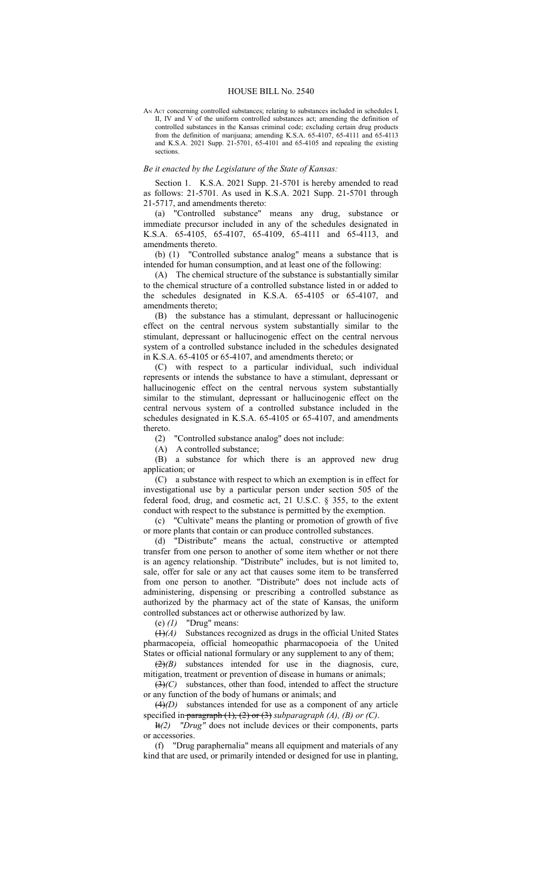#### HOUSE BILL No. 2540

AN Act concerning controlled substances; relating to substances included in schedules I, II, IV and V of the uniform controlled substances act; amending the definition of controlled substances in the Kansas criminal code; excluding certain drug products from the definition of marijuana; amending K.S.A. 65-4107, 65-4111 and 65-4113 and K.S.A. 2021 Supp. 21-5701, 65-4101 and 65-4105 and repealing the existing sections.

### *Be it enacted by the Legislature of the State of Kansas:*

Section 1. K.S.A. 2021 Supp. 21-5701 is hereby amended to read as follows: 21-5701. As used in K.S.A. 2021 Supp. 21-5701 through 21-5717, and amendments thereto:

(a) "Controlled substance" means any drug, substance immediate precursor included in any of the schedules designated in K.S.A. 65-4105, 65-4107, 65-4109, 65-4111 and 65-4113, and amendments thereto.

(b) (1) "Controlled substance analog" means a substance that is intended for human consumption, and at least one of the following:

(A) The chemical structure of the substance is substantially similar to the chemical structure of a controlled substance listed in or added to the schedules designated in K.S.A. 65-4105 or 65-4107, and amendments thereto;

(B) the substance has a stimulant, depressant or hallucinogenic effect on the central nervous system substantially similar to the stimulant, depressant or hallucinogenic effect on the central nervous system of a controlled substance included in the schedules designated in K.S.A. 65-4105 or 65-4107, and amendments thereto; or

(C) with respect to a particular individual, such individual represents or intends the substance to have a stimulant, depressant or hallucinogenic effect on the central nervous system substantially similar to the stimulant, depressant or hallucinogenic effect on the central nervous system of a controlled substance included in the schedules designated in K.S.A. 65-4105 or 65-4107, and amendments thereto.

(2) "Controlled substance analog" does not include:

(A) A controlled substance;

(B) a substance for which there is an approved new drug application; or

(C) a substance with respect to which an exemption is in effect for investigational use by a particular person under section 505 of the federal food, drug, and cosmetic act, 21 U.S.C. § 355, to the extent conduct with respect to the substance is permitted by the exemption.

(c) "Cultivate" means the planting or promotion of growth of five or more plants that contain or can produce controlled substances.

(d) "Distribute" means the actual, constructive or attempted transfer from one person to another of some item whether or not there is an agency relationship. "Distribute" includes, but is not limited to, sale, offer for sale or any act that causes some item to be transferred from one person to another. "Distribute" does not include acts of administering, dispensing or prescribing a controlled substance as authorized by the pharmacy act of the state of Kansas, the uniform controlled substances act or otherwise authorized by law.

(e) *(1)* "Drug" means:

(1)*(A)* Substances recognized as drugs in the official United States pharmacopeia, official homeopathic pharmacopoeia of the United States or official national formulary or any supplement to any of them;

 $(2)(B)$  substances intended for use in the diagnosis, cure, mitigation, treatment or prevention of disease in humans or animals;

 $\left(\frac{3}{2}\right)(C)$  substances, other than food, intended to affect the structure or any function of the body of humans or animals; and

(4)*(D)* substances intended for use as a component of any article specified in paragraph (1), (2) or (3) *subparagraph (A), (B) or (C)*.

It*(2) "Drug"* does not include devices or their components, parts or accessories.

(f) "Drug paraphernalia" means all equipment and materials of any kind that are used, or primarily intended or designed for use in planting,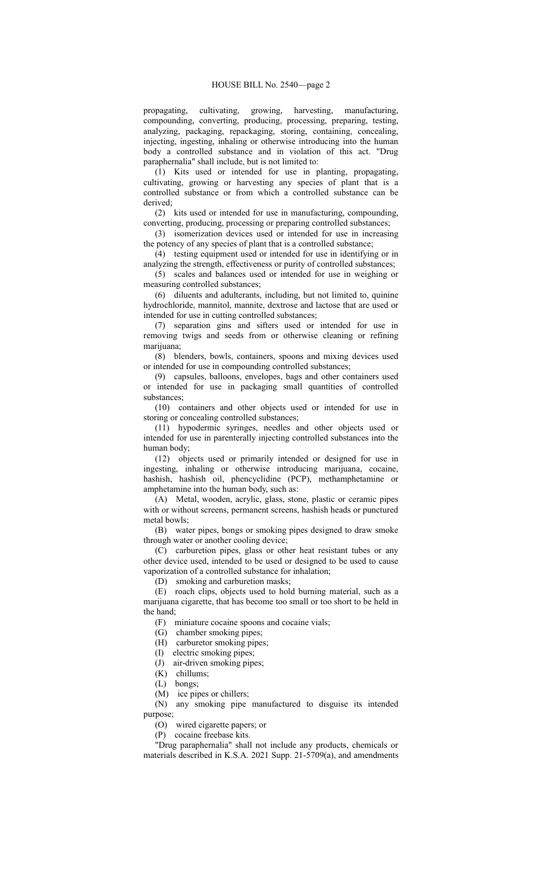propagating, cultivating, growing, harvesting, manufacturing, compounding, converting, producing, processing, preparing, testing, analyzing, packaging, repackaging, storing, containing, concealing, injecting, ingesting, inhaling or otherwise introducing into the human body a controlled substance and in violation of this act. "Drug paraphernalia" shall include, but is not limited to:

(1) Kits used or intended for use in planting, propagating, cultivating, growing or harvesting any species of plant that is a controlled substance or from which a controlled substance can be derived;

(2) kits used or intended for use in manufacturing, compounding, converting, producing, processing or preparing controlled substances;

(3) isomerization devices used or intended for use in increasing the potency of any species of plant that is a controlled substance;

(4) testing equipment used or intended for use in identifying or in analyzing the strength, effectiveness or purity of controlled substances;

(5) scales and balances used or intended for use in weighing or measuring controlled substances;

(6) diluents and adulterants, including, but not limited to, quinine hydrochloride, mannitol, mannite, dextrose and lactose that are used or intended for use in cutting controlled substances;

(7) separation gins and sifters used or intended for use in removing twigs and seeds from or otherwise cleaning or refining marijuana:

(8) blenders, bowls, containers, spoons and mixing devices used or intended for use in compounding controlled substances;

(9) capsules, balloons, envelopes, bags and other containers used or intended for use in packaging small quantities of controlled substances;

(10) containers and other objects used or intended for use in storing or concealing controlled substances;

(11) hypodermic syringes, needles and other objects used or intended for use in parenterally injecting controlled substances into the human body;

(12) objects used or primarily intended or designed for use in ingesting, inhaling or otherwise introducing marijuana, cocaine, hashish, hashish oil, phencyclidine (PCP), methamphetamine or amphetamine into the human body, such as:

(A) Metal, wooden, acrylic, glass, stone, plastic or ceramic pipes with or without screens, permanent screens, hashish heads or punctured metal bowls;

(B) water pipes, bongs or smoking pipes designed to draw smoke through water or another cooling device;

(C) carburetion pipes, glass or other heat resistant tubes or any other device used, intended to be used or designed to be used to cause vaporization of a controlled substance for inhalation;

(D) smoking and carburetion masks;

(E) roach clips, objects used to hold burning material, such as a marijuana cigarette, that has become too small or too short to be held in the hand;

(F) miniature cocaine spoons and cocaine vials;

(G) chamber smoking pipes;

(H) carburetor smoking pipes;

(I) electric smoking pipes;

(J) air-driven smoking pipes;

(K) chillums;

(L) bongs;

(M) ice pipes or chillers;

(N) any smoking pipe manufactured to disguise its intended purpose;

(O) wired cigarette papers; or

(P) cocaine freebase kits.

"Drug paraphernalia" shall not include any products, chemicals or materials described in K.S.A. 2021 Supp. 21-5709(a), and amendments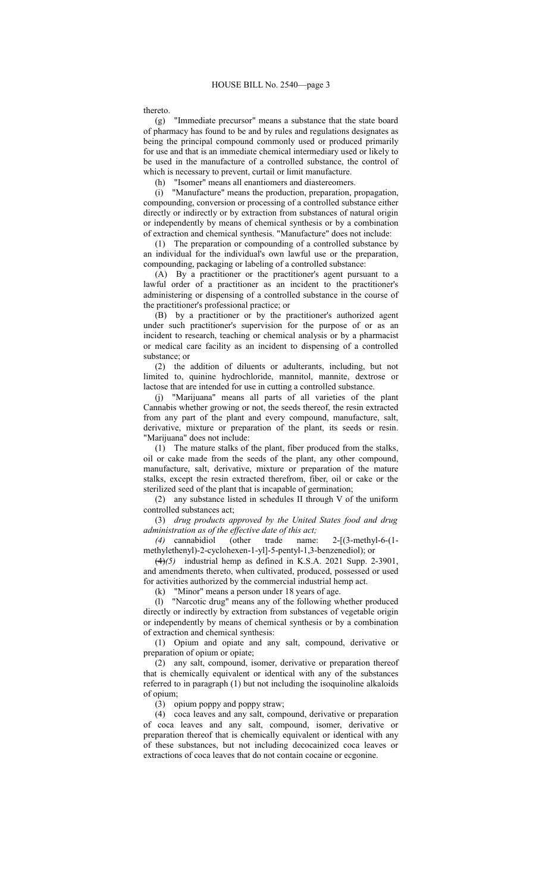thereto.

(g) "Immediate precursor" means a substance that the state board of pharmacy has found to be and by rules and regulations designates as being the principal compound commonly used or produced primarily for use and that is an immediate chemical intermediary used or likely to be used in the manufacture of a controlled substance, the control of which is necessary to prevent, curtail or limit manufacture.

(h) "Isomer" means all enantiomers and diastereomers.

(i) "Manufacture" means the production, preparation, propagation, compounding, conversion or processing of a controlled substance either directly or indirectly or by extraction from substances of natural origin or independently by means of chemical synthesis or by a combination of extraction and chemical synthesis. "Manufacture" does not include:

(1) The preparation or compounding of a controlled substance by an individual for the individual's own lawful use or the preparation, compounding, packaging or labeling of a controlled substance:

(A) By a practitioner or the practitioner's agent pursuant to a lawful order of a practitioner as an incident to the practitioner's administering or dispensing of a controlled substance in the course of the practitioner's professional practice; or

(B) by a practitioner or by the practitioner's authorized agent under such practitioner's supervision for the purpose of or as an incident to research, teaching or chemical analysis or by a pharmacist or medical care facility as an incident to dispensing of a controlled substance; or

(2) the addition of diluents or adulterants, including, but not limited to, quinine hydrochloride, mannitol, mannite, dextrose or lactose that are intended for use in cutting a controlled substance.

(j) "Marijuana" means all parts of all varieties of the plant Cannabis whether growing or not, the seeds thereof, the resin extracted from any part of the plant and every compound, manufacture, salt, derivative, mixture or preparation of the plant, its seeds or resin. "Marijuana" does not include:

(1) The mature stalks of the plant, fiber produced from the stalks, oil or cake made from the seeds of the plant, any other compound, manufacture, salt, derivative, mixture or preparation of the mature stalks, except the resin extracted therefrom, fiber, oil or cake or the sterilized seed of the plant that is incapable of germination;

(2) any substance listed in schedules II through V of the uniform controlled substances act;

(3) *drug products approved by the United States food and drug administration as of the effective date of this act;*

*(4)* cannabidiol (other trade name: 2-[(3-methyl-6-(1 methylethenyl)-2-cyclohexen-1-yl]-5-pentyl-1,3-benzenediol); or

(4)*(5)* industrial hemp as defined in K.S.A. 2021 Supp. 2-3901, and amendments thereto, when cultivated, produced, possessed or used for activities authorized by the commercial industrial hemp act.

(k) "Minor" means a person under 18 years of age.

(l) "Narcotic drug" means any of the following whether produced directly or indirectly by extraction from substances of vegetable origin or independently by means of chemical synthesis or by a combination of extraction and chemical synthesis:

(1) Opium and opiate and any salt, compound, derivative or preparation of opium or opiate;

(2) any salt, compound, isomer, derivative or preparation thereof that is chemically equivalent or identical with any of the substances referred to in paragraph (1) but not including the isoquinoline alkaloids of opium;

(3) opium poppy and poppy straw;

(4) coca leaves and any salt, compound, derivative or preparation of coca leaves and any salt, compound, isomer, derivative or preparation thereof that is chemically equivalent or identical with any of these substances, but not including decocainized coca leaves or extractions of coca leaves that do not contain cocaine or ecgonine.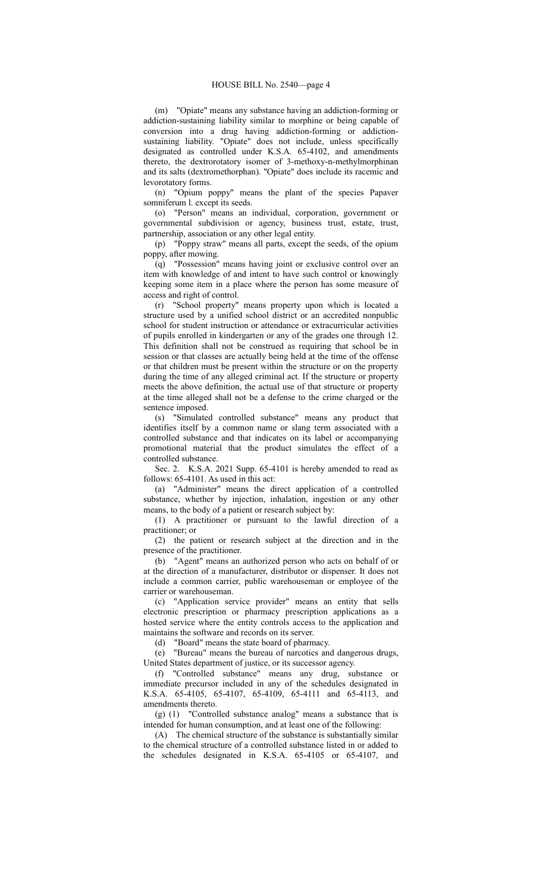(m) "Opiate" means any substance having an addiction-forming or addiction-sustaining liability similar to morphine or being capable of conversion into a drug having addiction-forming or addictionsustaining liability. "Opiate" does not include, unless specifically designated as controlled under K.S.A. 65-4102, and amendments thereto, the dextrorotatory isomer of 3-methoxy-n-methylmorphinan and its salts (dextromethorphan). "Opiate" does include its racemic and levorotatory forms.

(n) "Opium poppy" means the plant of the species Papaver somniferum l. except its seeds.

(o) "Person" means an individual, corporation, government or governmental subdivision or agency, business trust, estate, trust, partnership, association or any other legal entity.

(p) "Poppy straw" means all parts, except the seeds, of the opium poppy, after mowing.

(q) "Possession" means having joint or exclusive control over an item with knowledge of and intent to have such control or knowingly keeping some item in a place where the person has some measure of access and right of control.

(r) "School property" means property upon which is located a structure used by a unified school district or an accredited nonpublic school for student instruction or attendance or extracurricular activities of pupils enrolled in kindergarten or any of the grades one through 12. This definition shall not be construed as requiring that school be in session or that classes are actually being held at the time of the offense or that children must be present within the structure or on the property during the time of any alleged criminal act. If the structure or property meets the above definition, the actual use of that structure or property at the time alleged shall not be a defense to the crime charged or the sentence imposed.

(s) "Simulated controlled substance" means any product that identifies itself by a common name or slang term associated with a controlled substance and that indicates on its label or accompanying promotional material that the product simulates the effect of a controlled substance.

Sec. 2. K.S.A. 2021 Supp. 65-4101 is hereby amended to read as follows: 65-4101. As used in this act:

(a) "Administer" means the direct application of a controlled substance, whether by injection, inhalation, ingestion or any other means, to the body of a patient or research subject by:

(1) A practitioner or pursuant to the lawful direction of a practitioner; or

(2) the patient or research subject at the direction and in the presence of the practitioner.

(b) "Agent" means an authorized person who acts on behalf of or at the direction of a manufacturer, distributor or dispenser. It does not include a common carrier, public warehouseman or employee of the carrier or warehouseman.

(c) "Application service provider" means an entity that sells electronic prescription or pharmacy prescription applications as a hosted service where the entity controls access to the application and maintains the software and records on its server.

(d) "Board" means the state board of pharmacy.

(e) "Bureau" means the bureau of narcotics and dangerous drugs, United States department of justice, or its successor agency.

(f) "Controlled substance" means any drug, substance or immediate precursor included in any of the schedules designated in K.S.A. 65-4105, 65-4107, 65-4109, 65-4111 and 65-4113, and amendments thereto.

(g) (1) "Controlled substance analog" means a substance that is intended for human consumption, and at least one of the following:

(A) The chemical structure of the substance is substantially similar to the chemical structure of a controlled substance listed in or added to the schedules designated in K.S.A. 65-4105 or 65-4107, and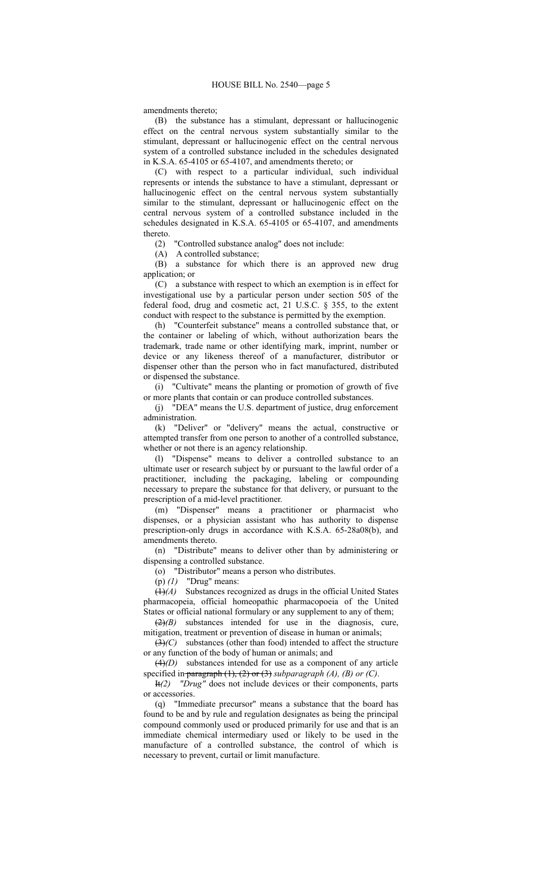amendments thereto;

(B) the substance has a stimulant, depressant or hallucinogenic effect on the central nervous system substantially similar to the stimulant, depressant or hallucinogenic effect on the central nervous system of a controlled substance included in the schedules designated in K.S.A. 65-4105 or 65-4107, and amendments thereto; or

(C) with respect to a particular individual, such individual represents or intends the substance to have a stimulant, depressant or hallucinogenic effect on the central nervous system substantially similar to the stimulant, depressant or hallucinogenic effect on the central nervous system of a controlled substance included in the schedules designated in K.S.A. 65-4105 or 65-4107, and amendments thereto.

(2) "Controlled substance analog" does not include:

(A) A controlled substance;

(B) a substance for which there is an approved new drug application; or

(C) a substance with respect to which an exemption is in effect for investigational use by a particular person under section 505 of the federal food, drug and cosmetic act, 21 U.S.C. § 355, to the extent conduct with respect to the substance is permitted by the exemption.

(h) "Counterfeit substance" means a controlled substance that, or the container or labeling of which, without authorization bears the trademark, trade name or other identifying mark, imprint, number or device or any likeness thereof of a manufacturer, distributor or dispenser other than the person who in fact manufactured, distributed or dispensed the substance.

(i) "Cultivate" means the planting or promotion of growth of five or more plants that contain or can produce controlled substances.

(j) "DEA" means the U.S. department of justice, drug enforcement administration.

(k) "Deliver" or "delivery" means the actual, constructive or attempted transfer from one person to another of a controlled substance, whether or not there is an agency relationship.

(l) "Dispense" means to deliver a controlled substance to an ultimate user or research subject by or pursuant to the lawful order of a practitioner, including the packaging, labeling or compounding necessary to prepare the substance for that delivery, or pursuant to the prescription of a mid-level practitioner.

(m) "Dispenser" means a practitioner or pharmacist who dispenses, or a physician assistant who has authority to dispense prescription-only drugs in accordance with K.S.A. 65-28a08(b), and amendments thereto.

(n) "Distribute" means to deliver other than by administering or dispensing a controlled substance.

(o) "Distributor" means a person who distributes.

(p) *(1)* "Drug" means:

(1)*(A)* Substances recognized as drugs in the official United States pharmacopeia, official homeopathic pharmacopoeia of the United States or official national formulary or any supplement to any of them;

 $(2)(B)$  substances intended for use in the diagnosis, cure, mitigation, treatment or prevention of disease in human or animals;

 $\left(\frac{3}{2}\right)(C)$  substances (other than food) intended to affect the structure or any function of the body of human or animals; and

(4)*(D)* substances intended for use as a component of any article specified in paragraph (1), (2) or (3) *subparagraph (A), (B) or (C)*.

It*(2) "Drug"* does not include devices or their components, parts or accessories.

(q) "Immediate precursor" means a substance that the board has found to be and by rule and regulation designates as being the principal compound commonly used or produced primarily for use and that is an immediate chemical intermediary used or likely to be used in the manufacture of a controlled substance, the control of which is necessary to prevent, curtail or limit manufacture.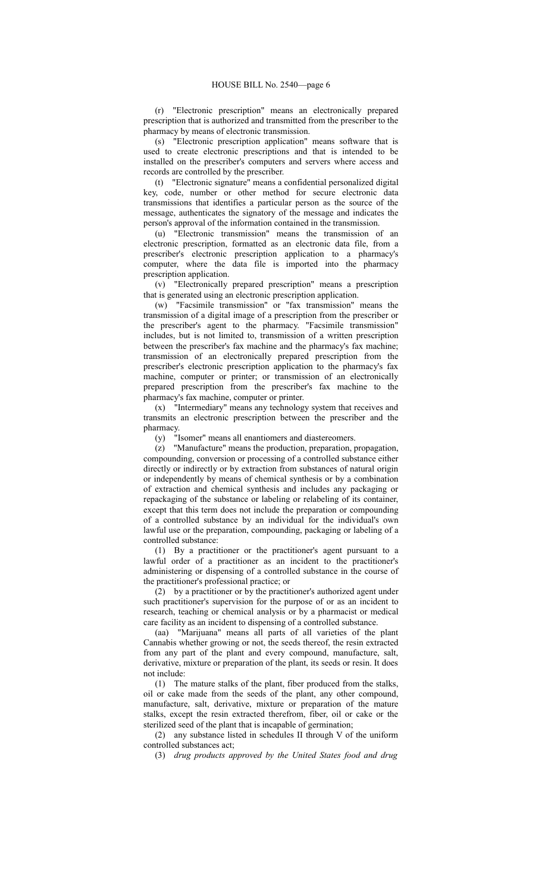(r) "Electronic prescription" means an electronically prepared prescription that is authorized and transmitted from the prescriber to the pharmacy by means of electronic transmission.

(s) "Electronic prescription application" means software that is used to create electronic prescriptions and that is intended to be installed on the prescriber's computers and servers where access and records are controlled by the prescriber.

(t) "Electronic signature" means a confidential personalized digital key, code, number or other method for secure electronic data transmissions that identifies a particular person as the source of the message, authenticates the signatory of the message and indicates the person's approval of the information contained in the transmission.

(u) "Electronic transmission" means the transmission of an electronic prescription, formatted as an electronic data file, from a prescriber's electronic prescription application to a pharmacy's computer, where the data file is imported into the pharmacy prescription application.

(v) "Electronically prepared prescription" means a prescription that is generated using an electronic prescription application.

(w) "Facsimile transmission" or "fax transmission" means the transmission of a digital image of a prescription from the prescriber or the prescriber's agent to the pharmacy. "Facsimile transmission" includes, but is not limited to, transmission of a written prescription between the prescriber's fax machine and the pharmacy's fax machine; transmission of an electronically prepared prescription from the prescriber's electronic prescription application to the pharmacy's fax machine, computer or printer; or transmission of an electronically prepared prescription from the prescriber's fax machine to the pharmacy's fax machine, computer or printer.

(x) "Intermediary" means any technology system that receives and transmits an electronic prescription between the prescriber and the pharmacy.

(y) "Isomer" means all enantiomers and diastereomers.

(z) "Manufacture" means the production, preparation, propagation, compounding, conversion or processing of a controlled substance either directly or indirectly or by extraction from substances of natural origin or independently by means of chemical synthesis or by a combination of extraction and chemical synthesis and includes any packaging or repackaging of the substance or labeling or relabeling of its container, except that this term does not include the preparation or compounding of a controlled substance by an individual for the individual's own lawful use or the preparation, compounding, packaging or labeling of a controlled substance:

(1) By a practitioner or the practitioner's agent pursuant to a lawful order of a practitioner as an incident to the practitioner's administering or dispensing of a controlled substance in the course of the practitioner's professional practice; or

(2) by a practitioner or by the practitioner's authorized agent under such practitioner's supervision for the purpose of or as an incident to research, teaching or chemical analysis or by a pharmacist or medical care facility as an incident to dispensing of a controlled substance.

(aa) "Marijuana" means all parts of all varieties of the plant Cannabis whether growing or not, the seeds thereof, the resin extracted from any part of the plant and every compound, manufacture, salt, derivative, mixture or preparation of the plant, its seeds or resin. It does not include:

(1) The mature stalks of the plant, fiber produced from the stalks, oil or cake made from the seeds of the plant, any other compound, manufacture, salt, derivative, mixture or preparation of the mature stalks, except the resin extracted therefrom, fiber, oil or cake or the sterilized seed of the plant that is incapable of germination;

(2) any substance listed in schedules II through V of the uniform controlled substances act;

(3) *drug products approved by the United States food and drug*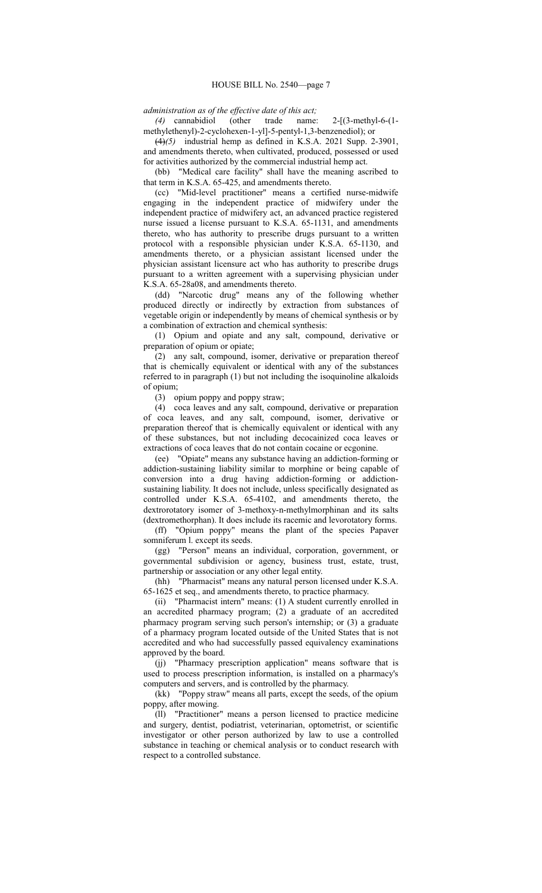*administration as of the effective date of this act;*

*(4)* cannabidiol (other trade name: 2-[(3-methyl-6-(1 methylethenyl)-2-cyclohexen-1-yl]-5-pentyl-1,3-benzenediol); or

(4)*(5)* industrial hemp as defined in K.S.A. 2021 Supp. 2-3901, and amendments thereto, when cultivated, produced, possessed or used for activities authorized by the commercial industrial hemp act.

(bb) "Medical care facility" shall have the meaning ascribed to that term in K.S.A. 65-425, and amendments thereto.

(cc) "Mid-level practitioner" means a certified nurse-midwife engaging in the independent practice of midwifery under the independent practice of midwifery act, an advanced practice registered nurse issued a license pursuant to K.S.A. 65-1131, and amendments thereto, who has authority to prescribe drugs pursuant to a written protocol with a responsible physician under K.S.A. 65-1130, and amendments thereto, or a physician assistant licensed under the physician assistant licensure act who has authority to prescribe drugs pursuant to a written agreement with a supervising physician under K.S.A. 65-28a08, and amendments thereto.

(dd) "Narcotic drug" means any of the following whether produced directly or indirectly by extraction from substances of vegetable origin or independently by means of chemical synthesis or by a combination of extraction and chemical synthesis:

(1) Opium and opiate and any salt, compound, derivative or preparation of opium or opiate;

(2) any salt, compound, isomer, derivative or preparation thereof that is chemically equivalent or identical with any of the substances referred to in paragraph (1) but not including the isoquinoline alkaloids of opium;

(3) opium poppy and poppy straw;

(4) coca leaves and any salt, compound, derivative or preparation of coca leaves, and any salt, compound, isomer, derivative or preparation thereof that is chemically equivalent or identical with any of these substances, but not including decocainized coca leaves or extractions of coca leaves that do not contain cocaine or ecgonine.

(ee) "Opiate" means any substance having an addiction-forming or addiction-sustaining liability similar to morphine or being capable of conversion into a drug having addiction-forming or addictionsustaining liability. It does not include, unless specifically designated as controlled under K.S.A. 65-4102, and amendments thereto, the dextrorotatory isomer of 3-methoxy-n-methylmorphinan and its salts (dextromethorphan). It does include its racemic and levorotatory forms.

(ff) "Opium poppy" means the plant of the species Papaver somniferum l. except its seeds.

(gg) "Person" means an individual, corporation, government, or governmental subdivision or agency, business trust, estate, trust, partnership or association or any other legal entity.

(hh) "Pharmacist" means any natural person licensed under K.S.A. 65-1625 et seq., and amendments thereto, to practice pharmacy.

(ii) "Pharmacist intern" means: (1) A student currently enrolled in an accredited pharmacy program; (2) a graduate of an accredited pharmacy program serving such person's internship; or (3) a graduate of a pharmacy program located outside of the United States that is not accredited and who had successfully passed equivalency examinations approved by the board.

(jj) "Pharmacy prescription application" means software that is used to process prescription information, is installed on a pharmacy's computers and servers, and is controlled by the pharmacy.

(kk) "Poppy straw" means all parts, except the seeds, of the opium poppy, after mowing.

(ll) "Practitioner" means a person licensed to practice medicine and surgery, dentist, podiatrist, veterinarian, optometrist, or scientific investigator or other person authorized by law to use a controlled substance in teaching or chemical analysis or to conduct research with respect to a controlled substance.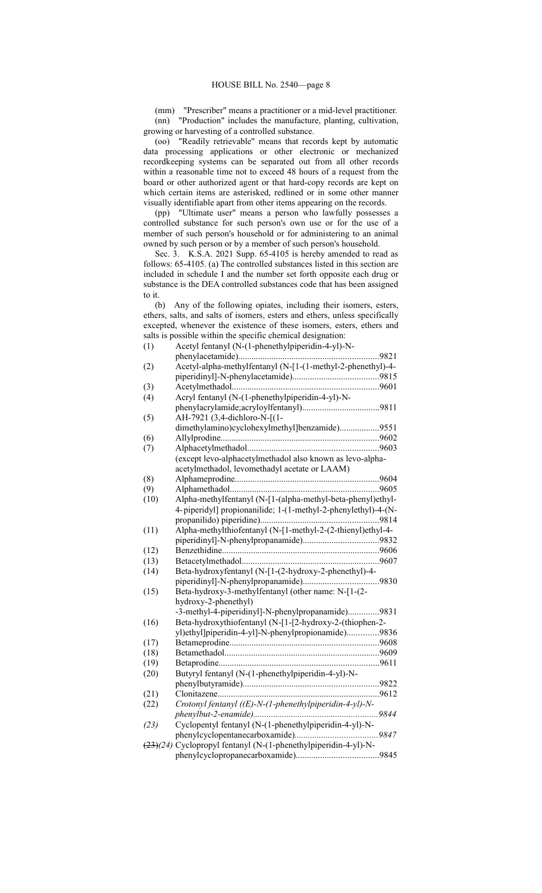(mm) "Prescriber" means a practitioner or a mid-level practitioner. (nn) "Production" includes the manufacture, planting, cultivation, growing or harvesting of a controlled substance.

(oo) "Readily retrievable" means that records kept by automatic data processing applications or other electronic or mechanized recordkeeping systems can be separated out from all other records within a reasonable time not to exceed 48 hours of a request from the board or other authorized agent or that hard-copy records are kept on which certain items are asterisked, redlined or in some other manner visually identifiable apart from other items appearing on the records.

(pp) "Ultimate user" means a person who lawfully possesses a controlled substance for such person's own use or for the use of a member of such person's household or for administering to an animal owned by such person or by a member of such person's household.

Sec. 3. K.S.A. 2021 Supp. 65-4105 is hereby amended to read as follows: 65-4105. (a) The controlled substances listed in this section are included in schedule I and the number set forth opposite each drug or substance is the DEA controlled substances code that has been assigned to it.

(b) Any of the following opiates, including their isomers, esters, ethers, salts, and salts of isomers, esters and ethers, unless specifically excepted, whenever the existence of these isomers, esters, ethers and salts is possible within the specific chemical designation: (1) Acetyl fentanyl (N-(1-phenethylpiperidin-4-yl)-N-

| (1)  | $\alpha$ recept remain yr $\alpha$ (1) phenemyrphetram $\alpha$ yr) $\alpha$ |  |
|------|------------------------------------------------------------------------------|--|
|      |                                                                              |  |
| (2)  | Acetyl-alpha-methylfentanyl (N-[1-(1-methyl-2-phenethyl)-4-                  |  |
|      |                                                                              |  |
| (3)  |                                                                              |  |
| (4)  | Acryl fentanyl (N-(1-phenethylpiperidin-4-yl)-N-                             |  |
|      |                                                                              |  |
| (5)  | AH-7921 (3,4-dichloro-N-[(1-                                                 |  |
|      | dimethylamino)cyclohexylmethyl]benzamide)9551                                |  |
| (6)  |                                                                              |  |
| (7)  |                                                                              |  |
|      | (except levo-alphacetylmethadol also known as levo-alpha-                    |  |
|      | acetylmethadol, levomethadyl acetate or LAAM)                                |  |
| (8)  |                                                                              |  |
| (9)  |                                                                              |  |
| (10) | Alpha-methylfentanyl (N-[1-(alpha-methyl-beta-phenyl)ethyl-                  |  |
|      | 4-piperidyl] propionanilide; 1-(1-methyl-2-phenylethyl)-4-(N-                |  |
|      |                                                                              |  |
| (11) | Alpha-methylthiofentanyl (N-[1-methyl-2-(2-thienyl)ethyl-4-                  |  |
|      |                                                                              |  |
| (12) |                                                                              |  |
| (13) |                                                                              |  |
| (14) | Beta-hydroxyfentanyl (N-[1-(2-hydroxy-2-phenethyl)-4-                        |  |
|      |                                                                              |  |
| (15) | Beta-hydroxy-3-methylfentanyl (other name: N-[1-(2-                          |  |
|      | hydroxy-2-phenethyl)                                                         |  |
|      | -3-methyl-4-piperidinyl]-N-phenylpropanamide)9831                            |  |
| (16) | Beta-hydroxythiofentanyl (N-[1-[2-hydroxy-2-(thiophen-2-                     |  |
|      | yl)ethyl]piperidin-4-yl]-N-phenylpropionamide)9836                           |  |
| (17) |                                                                              |  |
| (18) |                                                                              |  |
| (19) |                                                                              |  |
| (20) | Butyryl fentanyl (N-(1-phenethylpiperidin-4-yl)-N-                           |  |
|      |                                                                              |  |
| (21) |                                                                              |  |
| (22) | Crotonyl fentanyl ((E)-N-(1-phenethylpiperidin-4-yl)-N-                      |  |
|      |                                                                              |  |
| (23) | Cyclopentyl fentanyl (N-(1-phenethylpiperidin-4-yl)-N-                       |  |
|      |                                                                              |  |
|      | (23)(24) Cyclopropyl fentanyl (N-(1-phenethylpiperidin-4-yl)-N-              |  |
|      |                                                                              |  |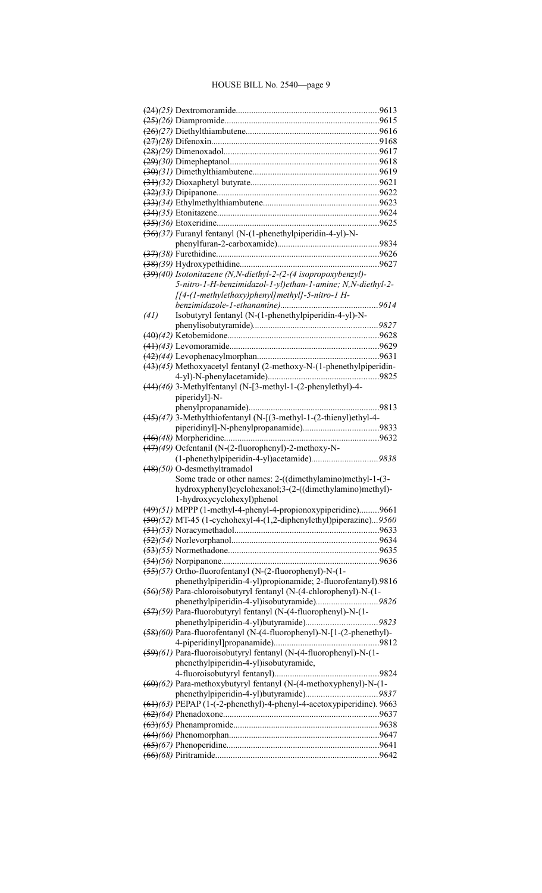|      | (36)(37) Furanyl fentanyl (N-(1-phenethylpiperidin-4-yl)-N-            |  |
|------|------------------------------------------------------------------------|--|
|      |                                                                        |  |
|      |                                                                        |  |
|      |                                                                        |  |
|      | (39)(40) Isotonitazene (N, N-diethyl-2-(2-(4 isopropoxybenzyl)-        |  |
|      | 5-nitro-1-H-benzimidazol-1-yl)ethan-1-amine; N,N-diethyl-2-            |  |
|      | [[4-(1-methylethoxy)phenyl]methyl]-5-nitro-1 H-                        |  |
|      |                                                                        |  |
| (41) | Isobutyryl fentanyl (N-(1-phenethylpiperidin-4-yl)-N-                  |  |
|      |                                                                        |  |
|      |                                                                        |  |
|      |                                                                        |  |
|      |                                                                        |  |
|      | (43)(45) Methoxyacetyl fentanyl (2-methoxy-N-(1-phenethylpiperidin-    |  |
|      |                                                                        |  |
|      | (44)(46) 3-Methylfentanyl (N-[3-methyl-1-(2-phenylethyl)-4-            |  |
|      | piperidyl]-N-                                                          |  |
|      |                                                                        |  |
|      | $(45)(47)$ 3-Methylthiofentanyl (N-[(3-methyl-1-(2-thienyl)ethyl-4-    |  |
|      |                                                                        |  |
|      |                                                                        |  |
|      |                                                                        |  |
|      | $(47)(49)$ Ocfentanil (N- $(2$ -fluorophenyl)-2-methoxy-N-             |  |
|      |                                                                        |  |
|      | $(48)(50)$ O-desmethyltramadol                                         |  |
|      | Some trade or other names: 2-((dimethylamino)methyl-1-(3-              |  |
|      | hydroxyphenyl)cyclohexanol;3-(2-((dimethylamino)methyl)-               |  |
|      | 1-hydroxycyclohexyl)phenol                                             |  |
|      | $(49)(51)$ MPPP (1-methyl-4-phenyl-4-propionoxypiperidine)9661         |  |
|      | $(50)(52)$ MT-45 (1-cychohexyl-4-(1,2-diphenylethyl)piperazine)9560    |  |
|      |                                                                        |  |
|      |                                                                        |  |
|      |                                                                        |  |
|      |                                                                        |  |
|      | (55)(57) Ortho-fluorofentanyl (N-(2-fluorophenyl)-N-(1-                |  |
|      | phenethylpiperidin-4-yl)propionamide; 2-fluorofentanyl).9816           |  |
|      | (56)(58) Para-chloroisobutyryl fentanyl (N-(4-chlorophenyl)-N-(1-      |  |
|      |                                                                        |  |
|      | (57)(59) Para-fluorobutyryl fentanyl (N-(4-fluorophenyl)-N-(1-         |  |
|      |                                                                        |  |
|      | (58)(60) Para-fluorofentanyl (N-(4-fluorophenyl)-N-[1-(2-phenethyl)-   |  |
|      |                                                                        |  |
|      | (59)(61) Para-fluoroisobutyryl fentanyl (N-(4-fluorophenyl)-N-(1-      |  |
|      | phenethylpiperidin-4-yl)isobutyramide,                                 |  |
|      |                                                                        |  |
|      | (60)(62) Para-methoxybutyryl fentanyl (N-(4-methoxyphenyl)-N-(1-       |  |
|      |                                                                        |  |
|      | $(61)(63)$ PEPAP (1-(-2-phenethyl)-4-phenyl-4-acetoxypiperidine). 9663 |  |
|      |                                                                        |  |
|      |                                                                        |  |
|      |                                                                        |  |
|      |                                                                        |  |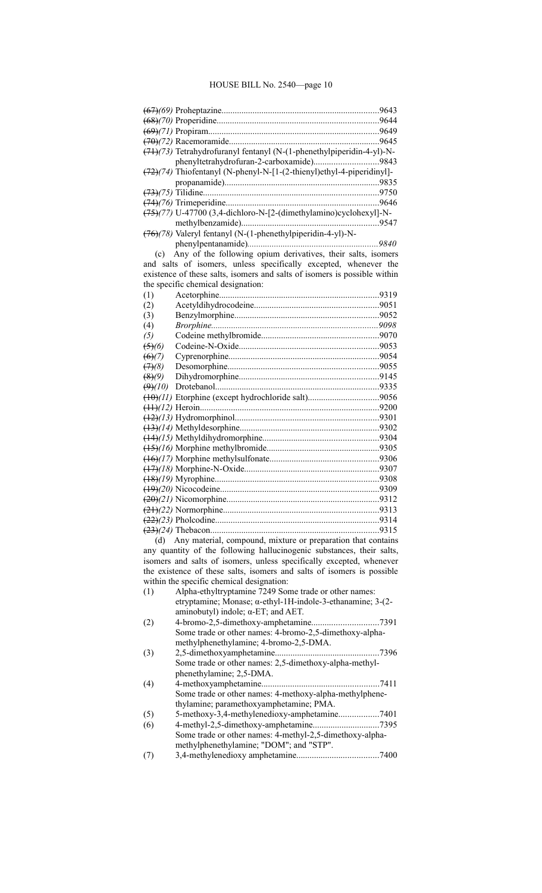|                                     | (71)(73) Tetrahydrofuranyl fentanyl (N-(1-phenethylpiperidin-4-yl)-N-     |
|-------------------------------------|---------------------------------------------------------------------------|
|                                     | phenyltetrahydrofuran-2-carboxamide)9843                                  |
|                                     | (72)(74) Thiofentanyl (N-phenyl-N-[1-(2-thienyl)ethyl-4-piperidinyl]-     |
|                                     |                                                                           |
|                                     |                                                                           |
|                                     |                                                                           |
|                                     | (75)(77) U-47700 (3,4-dichloro-N-[2-(dimethylamino)cyclohexyl]-N-         |
|                                     |                                                                           |
|                                     | (76)(78) Valeryl fentanyl (N-(1-phenethylpiperidin-4-yl)-N-               |
|                                     |                                                                           |
| (c)                                 | Any of the following opium derivatives, their salts, isomers              |
|                                     | and salts of isomers, unless specifically excepted, whenever the          |
|                                     | existence of these salts, isomers and salts of isomers is possible within |
|                                     | the specific chemical designation:                                        |
| (1)                                 |                                                                           |
| (2)                                 |                                                                           |
| (3)                                 |                                                                           |
| (4)                                 |                                                                           |
| (5)                                 |                                                                           |
| $\left( 5\right)$ (6)               |                                                                           |
| $\left( \Theta(7) \right)$          |                                                                           |
| $\left(\frac{\gamma}{\beta}\right)$ |                                                                           |
| $\left( 8\right) (9)$               |                                                                           |
| $\Theta$ (10)                       |                                                                           |
|                                     |                                                                           |
|                                     |                                                                           |
|                                     |                                                                           |
|                                     |                                                                           |
|                                     |                                                                           |
|                                     |                                                                           |
|                                     |                                                                           |
|                                     |                                                                           |
|                                     |                                                                           |
|                                     | $(20)(21)$ Nicomorphine                                                   |
|                                     |                                                                           |
|                                     |                                                                           |
|                                     |                                                                           |
|                                     | (d) Any material, compound, mixture or preparation that contains          |
|                                     | any quantity of the following hallucinogenic substances, their salts,     |
|                                     | isomers and salts of isomers, unless specifically excepted, whenever      |
|                                     | the existence of these salts, isomers and salts of isomers is possible    |
|                                     | within the specific chemical designation:                                 |
| (1)                                 | Alpha-ethyltryptamine 7249 Some trade or other names:                     |
|                                     | etryptamine; Monase; α-ethyl-1H-indole-3-ethanamine; 3-(2-                |
|                                     | aminobutyl) indole; $\alpha$ -ET; and AET.                                |
| (2)                                 |                                                                           |
|                                     | Some trade or other names: 4-bromo-2,5-dimethoxy-alpha-                   |
|                                     | methylphenethylamine; 4-bromo-2,5-DMA.                                    |
| (3)                                 |                                                                           |
|                                     | Some trade or other names: 2,5-dimethoxy-alpha-methyl-                    |
|                                     | phenethylamine; 2,5-DMA.                                                  |
| (4)                                 |                                                                           |
|                                     | Some trade or other names: 4-methoxy-alpha-methylphene-                   |
|                                     | thylamine; paramethoxyamphetamine; PMA.                                   |
| (5)                                 | 5-methoxy-3,4-methylenedioxy-amphetamine7401                              |
| (6)                                 |                                                                           |
|                                     | Some trade or other names: 4-methyl-2,5-dimethoxy-alpha-                  |
|                                     | methylphenethylamine; "DOM"; and "STP".                                   |
| (7)                                 |                                                                           |
|                                     |                                                                           |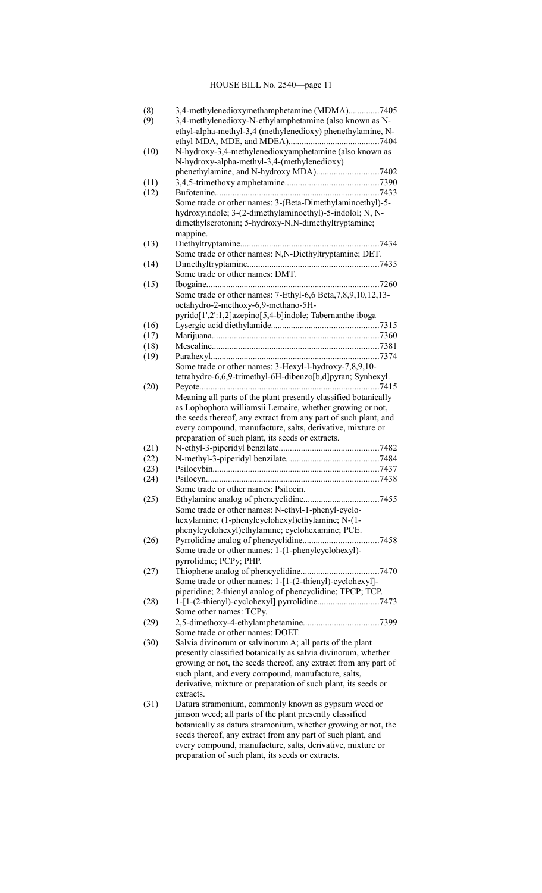| (8)<br>(9) | 3,4-methylenedioxymethamphetamine (MDMA)7405<br>3,4-methylenedioxy-N-ethylamphetamine (also known as N-<br>ethyl-alpha-methyl-3,4 (methylenedioxy) phenethylamine, N- |
|------------|-----------------------------------------------------------------------------------------------------------------------------------------------------------------------|
| (10)       | N-hydroxy-3,4-methylenedioxyamphetamine (also known as                                                                                                                |
|            | N-hydroxy-alpha-methyl-3,4-(methylenedioxy)                                                                                                                           |
|            | phenethylamine, and N-hydroxy MDA)7402                                                                                                                                |
| (11)       |                                                                                                                                                                       |
| (12)       |                                                                                                                                                                       |
|            | Some trade or other names: 3-(Beta-Dimethylaminoethyl)-5-<br>hydroxyindole; 3-(2-dimethylaminoethyl)-5-indolol; N, N-                                                 |
|            | dimethylserotonin; 5-hydroxy-N,N-dimethyltryptamine;<br>mappine.                                                                                                      |
| (13)       | Some trade or other names: N,N-Diethyltryptamine; DET.                                                                                                                |
| (14)       |                                                                                                                                                                       |
|            | Some trade or other names: DMT.                                                                                                                                       |
| (15)       |                                                                                                                                                                       |
|            | Some trade or other names: 7-Ethyl-6,6 Beta, 7, 8, 9, 10, 12, 13-                                                                                                     |
|            | octahydro-2-methoxy-6,9-methano-5H-                                                                                                                                   |
|            | pyrido[1',2':1,2]azepino[5,4-b]indole; Tabernanthe iboga                                                                                                              |
| (16)       |                                                                                                                                                                       |
| (17)       |                                                                                                                                                                       |
| (18)       |                                                                                                                                                                       |
| (19)       |                                                                                                                                                                       |
|            | Some trade or other names: 3-Hexyl-l-hydroxy-7,8,9,10-                                                                                                                |
|            | tetrahydro-6,6,9-trimethyl-6H-dibenzo[b,d]pyran; Synhexyl.                                                                                                            |
| (20)       |                                                                                                                                                                       |
|            | Meaning all parts of the plant presently classified botanically                                                                                                       |
|            | as Lophophora williamsii Lemaire, whether growing or not,                                                                                                             |
|            | the seeds thereof, any extract from any part of such plant, and                                                                                                       |
|            | every compound, manufacture, salts, derivative, mixture or                                                                                                            |
|            | preparation of such plant, its seeds or extracts.                                                                                                                     |
| (21)       |                                                                                                                                                                       |
| (22)       |                                                                                                                                                                       |
| (23)       |                                                                                                                                                                       |
| (24)       |                                                                                                                                                                       |
|            | Some trade or other names: Psilocin.                                                                                                                                  |
| (25)       | Ethylamine analog of phencyclidine.                                                                                                                                   |
|            | Some trade or other names: N-ethyl-1-phenyl-cyclo-                                                                                                                    |
|            | hexylamine; (1-phenylcyclohexyl)ethylamine; N-(1-                                                                                                                     |
|            | phenylcyclohexyl)ethylamine; cyclohexamine; PCE.                                                                                                                      |
| (26)       |                                                                                                                                                                       |
|            | Some trade or other names: 1-(1-phenylcyclohexyl)-<br>pyrrolidine; PCPy; PHP.                                                                                         |
| (27)       |                                                                                                                                                                       |
|            | Some trade or other names: 1-[1-(2-thienyl)-cyclohexyl]-                                                                                                              |
|            | piperidine; 2-thienyl analog of phencyclidine; TPCP; TCP.                                                                                                             |
| (28)       |                                                                                                                                                                       |
|            | Some other names: TCPy.                                                                                                                                               |
| (29)       |                                                                                                                                                                       |
|            | Some trade or other names: DOET.                                                                                                                                      |
| (30)       | Salvia divinorum or salvinorum A; all parts of the plant                                                                                                              |
|            | presently classified botanically as salvia divinorum, whether                                                                                                         |
|            | growing or not, the seeds thereof, any extract from any part of                                                                                                       |
|            | such plant, and every compound, manufacture, salts,                                                                                                                   |
|            | derivative, mixture or preparation of such plant, its seeds or                                                                                                        |
|            | extracts.                                                                                                                                                             |
| (31)       | Datura stramonium, commonly known as gypsum weed or                                                                                                                   |
|            | jimson weed; all parts of the plant presently classified                                                                                                              |
|            | botanically as datura stramonium, whether growing or not, the                                                                                                         |
|            | seeds thereof, any extract from any part of such plant, and                                                                                                           |
|            | every compound, manufacture, salts, derivative, mixture or                                                                                                            |
|            | preparation of such plant, its seeds or extracts.                                                                                                                     |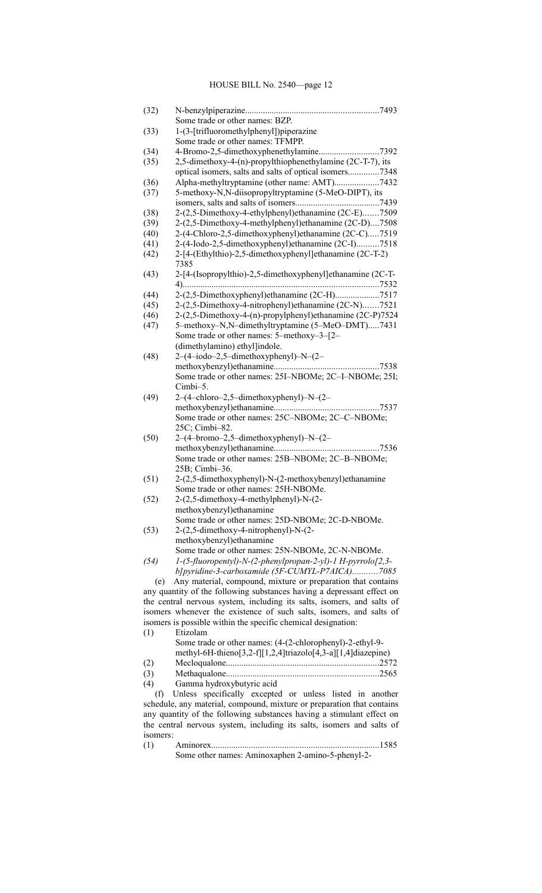| (32)     |                                                                        |
|----------|------------------------------------------------------------------------|
|          | Some trade or other names: BZP.                                        |
| (33)     | 1-(3-[trifluoromethylphenyl])piperazine                                |
|          | Some trade or other names: TFMPP.                                      |
| (34)     |                                                                        |
| (35)     | 2,5-dimethoxy-4-(n)-propylthiophenethylamine (2C-T-7), its             |
|          | optical isomers, salts and salts of optical isomers7348                |
| (36)     |                                                                        |
| (37)     | 5-methoxy-N,N-diisopropyltryptamine (5-MeO-DIPT), its                  |
|          |                                                                        |
| (38)     | 2-(2,5-Dimethoxy-4-ethylphenyl)ethanamine (2C-E)7509                   |
| (39)     | 2-(2,5-Dimethoxy-4-methylphenyl)ethanamine (2C-D)7508                  |
| (40)     | 2-(4-Chloro-2,5-dimethoxyphenyl)ethanamine (2C-C)7519                  |
| (41)     | 2-(4-Iodo-2,5-dimethoxyphenyl)ethanamine (2C-I)7518                    |
| (42)     | 2-[4-(Ethylthio)-2,5-dimethoxyphenyl]ethanamine (2C-T-2)               |
|          | 7385                                                                   |
| (43)     | 2-[4-(Isopropylthio)-2,5-dimethoxyphenyl]ethanamine (2C-T-             |
|          |                                                                        |
| (44)     | 2-(2,5-Dimethoxyphenyl)ethanamine (2C-H)7517                           |
| (45)     | 2-(2,5-Dimethoxy-4-nitrophenyl)ethanamine (2C-N)7521                   |
| (46)     | 2-(2,5-Dimethoxy-4-(n)-propylphenyl)ethanamine (2C-P)7524              |
| (47)     | 5-methoxy-N,N-dimethyltryptamine (5-MeO-DMT)7431                       |
|          | Some trade or other names: 5-methoxy-3-[2-                             |
|          | (dimethylamino) ethyl]indole.                                          |
| (48)     | 2-(4-iodo-2,5-dimethoxyphenyl)-N-(2-                                   |
|          |                                                                        |
|          | Some trade or other names: 25I-NBOMe; 2C-I-NBOMe; 25I;                 |
|          | Cimbi-5.                                                               |
| (49)     | 2-(4-chloro-2,5-dimethoxyphenyl)-N-(2-                                 |
|          |                                                                        |
|          | Some trade or other names: 25C-NBOMe; 2C-C-NBOMe;                      |
|          |                                                                        |
| (50)     | 25C; Cimbi-82.<br>2-(4-bromo-2,5-dimethoxyphenyl)-N-(2-                |
|          |                                                                        |
|          | Some trade or other names: 25B-NBOMe; 2C-B-NBOMe;                      |
|          | 25B; Cimbi-36.                                                         |
| (51)     | 2-(2,5-dimethoxyphenyl)-N-(2-methoxybenzyl)ethanamine                  |
|          | Some trade or other names: 25H-NBOMe.                                  |
|          | $2-(2,5$ -dimethoxy-4-methylphenyl)-N- $(2-$                           |
| (52)     | methoxybenzyl)ethanamine                                               |
|          | Some trade or other names: 25D-NBOMe; 2C-D-NBOMe.                      |
|          |                                                                        |
| (53)     | 2-(2,5-dimethoxy-4-nitrophenyl)-N-(2-                                  |
|          | methoxybenzyl)ethanamine                                               |
|          | Some trade or other names: 25N-NBOMe, 2C-N-NBOMe.                      |
| (54)     | 1-(5-fluoropentyl)-N-(2-phenylpropan-2-yl)-1 H-pyrrolo[2,3-            |
|          | b]pyridine-3-carboxamide (5F-CUMYL-P7AICA)7085                         |
| (e)      | Any material, compound, mixture or preparation that contains           |
|          | any quantity of the following substances having a depressant effect on |
|          | the central nervous system, including its salts, isomers, and salts of |
|          | isomers whenever the existence of such salts, isomers, and salts of    |
|          | isomers is possible within the specific chemical designation:          |
| (1)      | Etizolam                                                               |
|          | Some trade or other names: (4-(2-chlorophenyl)-2-ethyl-9-              |
|          | methyl-6H-thieno[3,2-f][1,2,4]triazolo[4,3-a][1,4]diazepine)           |
| (2)      |                                                                        |
| (3)      |                                                                        |
| (4)      | Gamma hydroxybutyric acid                                              |
|          | (f) Unless specifically excepted or unless listed in another           |
|          | schedule, any material, compound, mixture or preparation that contains |
|          | any quantity of the following substances having a stimulant effect on  |
|          | the central nervous system, including its salts, isomers and salts of  |
| isomers: |                                                                        |
| (1)      |                                                                        |

| Some other names: Aminoxaphen 2-amino-5-phenyl-2- |
|---------------------------------------------------|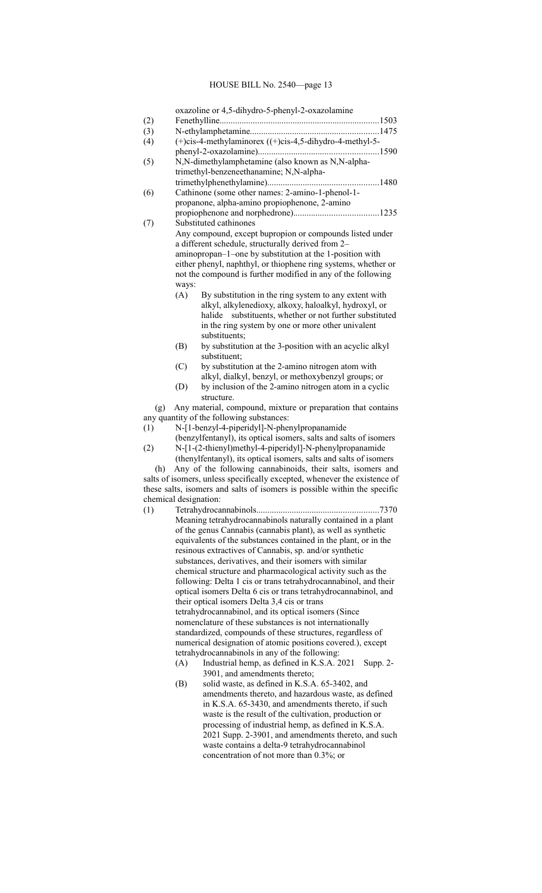|                       |                                                               | oxazoline or 4,5-dihydro-5-phenyl-2-oxazolamine                           |  |
|-----------------------|---------------------------------------------------------------|---------------------------------------------------------------------------|--|
| (2)                   |                                                               |                                                                           |  |
| (3)                   |                                                               |                                                                           |  |
| (4)                   | $(+)$ cis-4-methylaminorex $((+)$ cis-4,5-dihydro-4-methyl-5- |                                                                           |  |
| (5)                   |                                                               | N,N-dimethylamphetamine (also known as N,N-alpha-                         |  |
|                       |                                                               | trimethyl-benzeneethanamine; N,N-alpha-                                   |  |
|                       |                                                               |                                                                           |  |
| (6)                   |                                                               | Cathinone (some other names: 2-amino-1-phenol-1-                          |  |
|                       |                                                               | propanone, alpha-amino propiophenone, 2-amino                             |  |
|                       |                                                               |                                                                           |  |
| (7)                   |                                                               | Substituted cathinones                                                    |  |
|                       |                                                               | Any compound, except bupropion or compounds listed under                  |  |
|                       |                                                               | a different schedule, structurally derived from 2-                        |  |
|                       |                                                               | aminopropan-1-one by substitution at the 1-position with                  |  |
|                       |                                                               | either phenyl, naphthyl, or thiophene ring systems, whether or            |  |
|                       |                                                               | not the compound is further modified in any of the following              |  |
|                       | ways:                                                         |                                                                           |  |
|                       | (A)                                                           | By substitution in the ring system to any extent with                     |  |
|                       |                                                               | alkyl, alkylenedioxy, alkoxy, haloalkyl, hydroxyl, or                     |  |
|                       |                                                               | substituents, whether or not further substituted<br>halide                |  |
|                       |                                                               | in the ring system by one or more other univalent                         |  |
|                       |                                                               | substituents;                                                             |  |
|                       | (B)                                                           | by substitution at the 3-position with an acyclic alkyl                   |  |
|                       |                                                               | substituent;                                                              |  |
|                       | (C)                                                           | by substitution at the 2-amino nitrogen atom with                         |  |
|                       |                                                               | alkyl, dialkyl, benzyl, or methoxybenzyl groups; or                       |  |
|                       | (D)                                                           | by inclusion of the 2-amino nitrogen atom in a cyclic                     |  |
|                       |                                                               | structure.                                                                |  |
| (g)                   |                                                               | Any material, compound, mixture or preparation that contains              |  |
|                       |                                                               | any quantity of the following substances:                                 |  |
| (1)                   |                                                               | N-[1-benzyl-4-piperidyl]-N-phenylpropanamide                              |  |
|                       |                                                               | (benzylfentanyl), its optical isomers, salts and salts of isomers         |  |
| (2)                   |                                                               | N-[1-(2-thienyl)methyl-4-piperidyl]-N-phenylpropanamide                   |  |
|                       |                                                               | (thenylfentanyl), its optical isomers, salts and salts of isomers         |  |
| (h)                   |                                                               | Any of the following cannabinoids, their salts, isomers and               |  |
|                       |                                                               | salts of isomers, unless specifically excepted, whenever the existence of |  |
|                       |                                                               | these salts, isomers and salts of isomers is possible within the specific |  |
| chemical designation: |                                                               |                                                                           |  |
| (1)                   |                                                               |                                                                           |  |
|                       |                                                               | Meaning tetrahydrocannabinols naturally contained in a plant              |  |
|                       |                                                               | of the genus Cannabis (cannabis plant), as well as synthetic              |  |
|                       |                                                               | equivalents of the substances contained in the plant, or in the           |  |
|                       |                                                               | resinous extractives of Cannabis, sp. and/or synthetic                    |  |
|                       |                                                               | substances, derivatives, and their isomers with similar                   |  |
|                       |                                                               | chemical structure and pharmacological activity such as the               |  |
|                       |                                                               | following: Delta 1 cis or trans tetrahydrocannabinol, and their           |  |
|                       |                                                               | optical isomers Delta 6 cis or trans tetrahydrocannabinol, and            |  |
|                       |                                                               | their optical isomers Delta 3,4 cis or trans                              |  |
|                       |                                                               | tetrahydrocannabinol, and its optical isomers (Since                      |  |
|                       |                                                               | nomenclature of these substances is not internationally                   |  |
|                       |                                                               | standardized, compounds of these structures, regardless of                |  |
|                       |                                                               | numerical designation of atomic positions covered.), except               |  |
|                       |                                                               | tetrahydrocannabinols in any of the following:                            |  |
|                       | (A)                                                           | Industrial hemp, as defined in K.S.A. 2021<br>Supp. $2-$                  |  |
|                       |                                                               | 3901, and amendments thereto;                                             |  |

(B) solid waste, as defined in K.S.A. 65-3402, and amendments thereto, and hazardous waste, as defined in K.S.A. 65-3430, and amendments thereto, if such waste is the result of the cultivation, production or processing of industrial hemp, as defined in K.S.A. 2021 Supp. 2-3901, and amendments thereto, and such waste contains a delta-9 tetrahydrocannabinol concentration of not more than 0.3%; or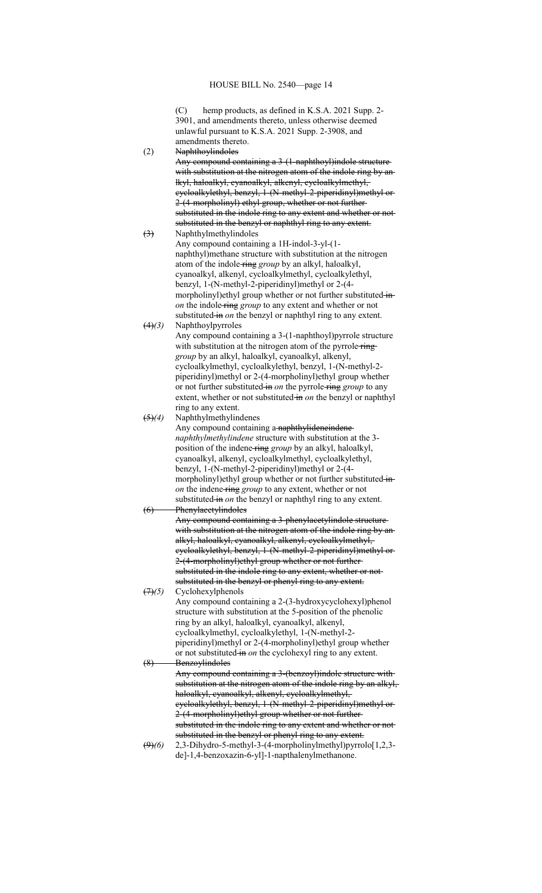(C) hemp products, as defined in K.S.A. 2021 Supp. 2- 3901, and amendments thereto, unless otherwise deemed unlawful pursuant to K.S.A. 2021 Supp. 2-3908, and amendments thereto.

(2) Naphthoylindoles Any compound containing a 3-(1-naphthoyl)indole structurewith substitution at the nitrogen atom of the indole ring by an lkyl, haloalkyl, cyanoalkyl, alkenyl, cycloalkylmethyl,

cycloalkylethyl, benzyl, 1-(N-methyl-2-piperidinyl)methyl or 2-(4-morpholinyl) ethyl group, whether or not further substituted in the indole ring to any extent and whether or notsubstituted in the benzyl or naphthyl ring to any extent.

(3) Naphthylmethylindoles Any compound containing a 1H-indol-3-yl-(1 naphthyl)methane structure with substitution at the nitrogen atom of the indole ring *group* by an alkyl, haloalkyl, cyanoalkyl, alkenyl, cycloalkylmethyl, cycloalkylethyl, benzyl, 1-(N-methyl-2-piperidinyl)methyl or 2-(4 morpholinyl)ethyl group whether or not further substituted in*on* the indole ring *group* to any extent and whether or not substituted in *on* the benzyl or naphthyl ring to any extent. (4)*(3)* Naphthoylpyrroles

> Any compound containing a 3-(1-naphthoyl)pyrrole structure with substitution at the nitrogen atom of the pyrrole-ring*group* by an alkyl, haloalkyl, cyanoalkyl, alkenyl, cycloalkylmethyl, cycloalkylethyl, benzyl, 1-(N-methyl-2 piperidinyl)methyl or 2-(4-morpholinyl)ethyl group whether or not further substituted in *on* the pyrrole ring *group* to any extent, whether or not substituted in on the benzyl or naphthyl ring to any extent.

(5)*(4)* Naphthylmethylindenes

Any compound containing a naphthylideneindene*naphthylmethylindene* structure with substitution at the 3 position of the indene ring *group* by an alkyl, haloalkyl, cyanoalkyl, alkenyl, cycloalkylmethyl, cycloalkylethyl, benzyl, 1-(N-methyl-2-piperidinyl)methyl or 2-(4 morpholinyl)ethyl group whether or not further substituted-in*on* the indene-ring group to any extent, whether or not substituted in *on* the benzyl or naphthyl ring to any extent. (6) Phenylacetylindoles

Any compound containing a 3-phenylacetylindole structure with substitution at the nitrogen atom of the indole ring by analkyl, haloalkyl, cyanoalkyl, alkenyl, cycloalkylmethyl, cycloalkylethyl, benzyl, 1-(N-methyl-2-piperidinyl)methyl or 2-(4-morpholinyl)ethyl group whether or not further substituted in the indole ring to any extent, whether or notsubstituted in the benzyl or phenyl ring to any extent. (7)*(5)* Cyclohexylphenols

Any compound containing a 2-(3-hydroxycyclohexyl)phenol structure with substitution at the 5-position of the phenolic ring by an alkyl, haloalkyl, cyanoalkyl, alkenyl, cycloalkylmethyl, cycloalkylethyl, 1-(N-methyl-2 piperidinyl)methyl or 2-(4-morpholinyl)ethyl group whether or not substituted in *on* the cyclohexyl ring to any extent.

(8) Benzoylindoles Any compound containing a 3-(benzoyl)indole structure with substitution at the nitrogen atom of the indole ring by an alkyl, haloalkyl, cyanoalkyl, alkenyl, cycloalkylmethyl, cycloalkylethyl, benzyl, 1-(N-methyl-2-piperidinyl)methyl or 2-(4-morpholinyl)ethyl group whether or not further substituted in the indole ring to any extent and whether or notsubstituted in the benzyl or phenyl ring to any extent.

(9)*(6)* 2,3-Dihydro-5-methyl-3-(4-morpholinylmethyl)pyrrolo[1,2,3 de]-1,4-benzoxazin-6-yl]-1-napthalenylmethanone.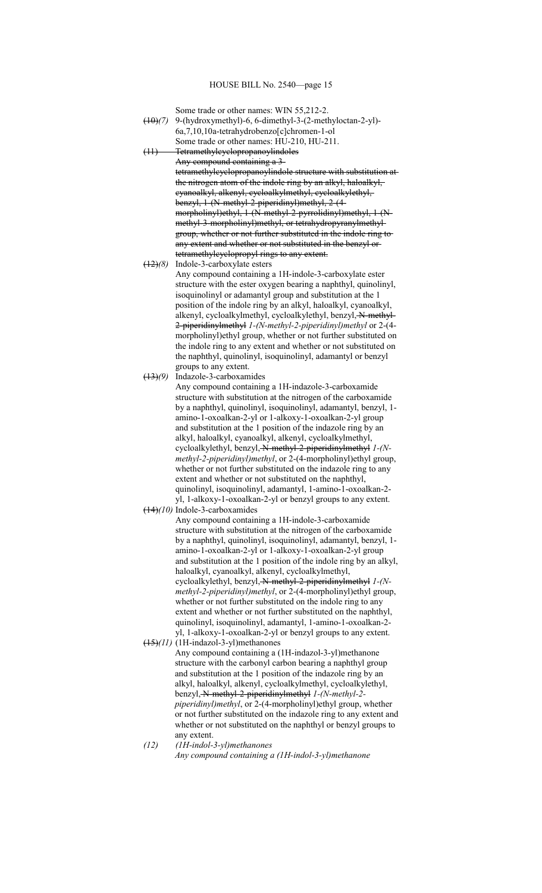|                             | Some trade or other names: WIN 55,212-2.                                                                                         |
|-----------------------------|----------------------------------------------------------------------------------------------------------------------------------|
| $\left(\frac{10}{2}\right)$ | 9-(hydroxymethyl)-6, 6-dimethyl-3-(2-methyloctan-2-yl)-                                                                          |
|                             | 6a, 7, 10, 10a-tetrahydrobenzo[c]chromen-1-ol                                                                                    |
|                             | Some trade or other names: HU-210, HU-211.                                                                                       |
| (11)                        | Tetramethyleyelopropanoylindoles                                                                                                 |
|                             | Any compound containing a 3-                                                                                                     |
|                             | tetramethyleyelopropanoylindole structure with substitution at<br>the nitrogen atom of the indole ring by an alkyl, haloalkyl,   |
|                             | eyanoalkyl, alkenyl, cycloalkylmethyl, cycloalkylethyl,                                                                          |
|                             | benzyl, 1-(N-methyl-2-piperidinyl)methyl, 2-(4-                                                                                  |
|                             | morpholinyl)ethyl, 1-(N-methyl-2-pyrrolidinyl)methyl, 1-(N-                                                                      |
|                             | methyl-3-morpholinyl)methyl, or tetrahydropyranylmethyl-                                                                         |
|                             | group, whether or not further substituted in the indole ring to-                                                                 |
|                             | any extent and whether or not substituted in the benzyl or-                                                                      |
|                             | tetramethyleyelopropyl rings to any extent.                                                                                      |
| (12)(8)                     | Indole-3-carboxylate esters                                                                                                      |
|                             | Any compound containing a 1H-indole-3-carboxylate ester                                                                          |
|                             | structure with the ester oxygen bearing a naphthyl, quinolinyl,                                                                  |
|                             | isoquinolinyl or adamantyl group and substitution at the 1                                                                       |
|                             | position of the indole ring by an alkyl, haloalkyl, cyanoalkyl,<br>alkenyl, cycloalkylmethyl, cycloalkylethyl, benzyl, N-methyl- |
|                             | 2-piperidinylmethyl 1-(N-methyl-2-piperidinyl)methyl or 2-(4-                                                                    |
|                             | morpholinyl) ethyl group, whether or not further substituted on                                                                  |
|                             | the indole ring to any extent and whether or not substituted on                                                                  |
|                             | the naphthyl, quinolinyl, isoquinolinyl, adamantyl or benzyl                                                                     |
|                             | groups to any extent.                                                                                                            |
| (13)(9)                     | Indazole-3-carboxamides                                                                                                          |
|                             | Any compound containing a 1H-indazole-3-carboxamide                                                                              |
|                             | structure with substitution at the nitrogen of the carboxamide                                                                   |
|                             | by a naphthyl, quinolinyl, isoquinolinyl, adamantyl, benzyl, 1-                                                                  |
|                             | amino-1-oxoalkan-2-yl or 1-alkoxy-1-oxoalkan-2-yl group<br>and substitution at the 1 position of the indazole ring by an         |
|                             | alkyl, haloalkyl, cyanoalkyl, alkenyl, cycloalkylmethyl,                                                                         |
|                             | cycloalkylethyl, benzyl, N-methyl-2-piperidinylmethyl 1-(N-                                                                      |
|                             | methyl-2-piperidinyl)methyl, or 2-(4-morpholinyl)ethyl group,                                                                    |
|                             | whether or not further substituted on the indazole ring to any                                                                   |
|                             | extent and whether or not substituted on the naphthyl,                                                                           |
|                             | quinolinyl, isoquinolinyl, adamantyl, 1-amino-1-oxoalkan-2-                                                                      |
|                             | yl, 1-alkoxy-1-oxoalkan-2-yl or benzyl groups to any extent.                                                                     |
|                             | $(14)/(10)$ Indole-3-carboxamides                                                                                                |
|                             | Any compound containing a 1H-indole-3-carboxamide<br>structure with substitution at the nitrogen of the carboxamide              |
|                             | by a naphthyl, quinolinyl, isoquinolinyl, adamantyl, benzyl, 1-                                                                  |
|                             | amino-1-oxoalkan-2-yl or 1-alkoxy-1-oxoalkan-2-yl group                                                                          |
|                             | and substitution at the 1 position of the indole ring by an alkyl,                                                               |
|                             | haloalkyl, cyanoalkyl, alkenyl, cycloalkylmethyl,                                                                                |
|                             | cycloalkylethyl, benzyl, N-methyl-2-piperidinylmethyl 1-(N-                                                                      |
|                             | methyl-2-piperidinyl)methyl, or 2-(4-morpholinyl)ethyl group,                                                                    |
|                             | whether or not further substituted on the indole ring to any                                                                     |
|                             | extent and whether or not further substituted on the naphthyl,                                                                   |
|                             | quinolinyl, isoquinolinyl, adamantyl, 1-amino-1-oxoalkan-2-                                                                      |
|                             | yl, 1-alkoxy-1-oxoalkan-2-yl or benzyl groups to any extent.                                                                     |
|                             | $(15)(11)$ (1H-indazol-3-yl)methanones<br>Any compound containing a (1H-indazol-3-yl)methanone                                   |
|                             | structure with the carbonyl carbon bearing a naphthyl group                                                                      |
|                             | and substitution at the 1 position of the indazole ring by an                                                                    |
|                             | alkyl, haloalkyl, alkenyl, cycloalkylmethyl, cycloalkylethyl,                                                                    |
|                             | benzyl, N-methyl-2-piperidinylmethyl 1-(N-methyl-2-                                                                              |
|                             | <i>piperidinyl)methyl</i> , or 2-(4-morpholinyl)ethyl group, whether                                                             |
|                             | or not further substituted on the indazole ring to any extent and                                                                |
|                             | whether or not substituted on the naphthyl or benzyl groups to                                                                   |
|                             | any extent.                                                                                                                      |

*(12) (1H-indol-3-yl)methanones Any compound containing a (1H-indol-3-yl)methanone*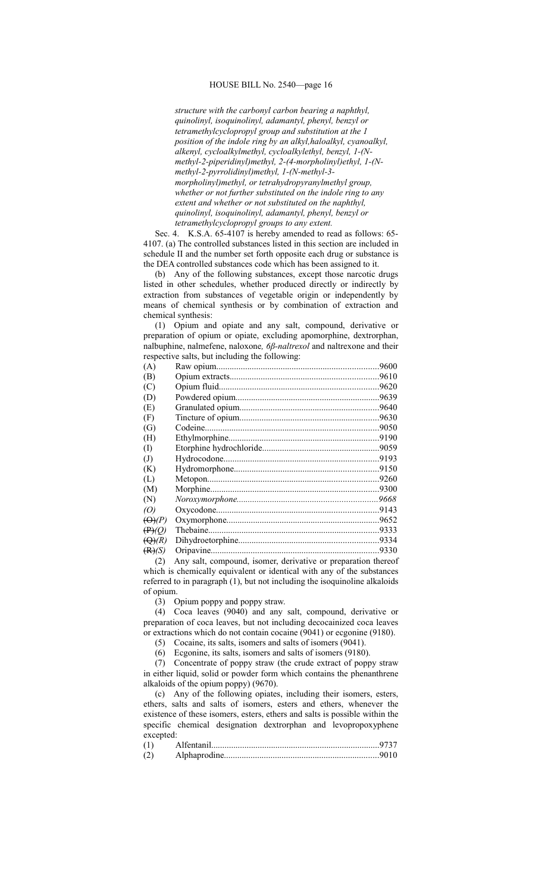*structure with the carbonyl carbon bearing a naphthyl, quinolinyl, isoquinolinyl, adamantyl, phenyl, benzyl or tetramethylcyclopropyl group and substitution at the 1 position of the indole ring by an alkyl,haloalkyl, cyanoalkyl, alkenyl, cycloalkylmethyl, cycloalkylethyl, benzyl, 1-(Nmethyl-2-piperidinyl)methyl, 2-(4-morpholinyl)ethyl, 1-(Nmethyl-2-pyrrolidinyl)methyl, 1-(N-methyl-3 morpholinyl)methyl, or tetrahydropyranylmethyl group, whether or not further substituted on the indole ring to any extent and whether or not substituted on the naphthyl, quinolinyl, isoquinolinyl, adamantyl, phenyl, benzyl or tetramethylcyclopropyl groups to any extent.*

Sec. 4. K.S.A. 65-4107 is hereby amended to read as follows: 65- 4107. (a) The controlled substances listed in this section are included in schedule II and the number set forth opposite each drug or substance is the DEA controlled substances code which has been assigned to it.

(b) Any of the following substances, except those narcotic drugs listed in other schedules, whether produced directly or indirectly by extraction from substances of vegetable origin or independently by means of chemical synthesis or by combination of extraction and chemical synthesis:

(1) Opium and opiate and any salt, compound, derivative or preparation of opium or opiate, excluding apomorphine, dextrorphan, nalbuphine, nalmefene, naloxone*, 6β-naltrexol* and naltrexone and their respective salts, but including the following:

| (A)               | .9600 |
|-------------------|-------|
| (B)               |       |
| (C)               |       |
| (D)               |       |
| (E)               |       |
| (F)               |       |
| (G)               | .9050 |
| (H)               |       |
| (1)               |       |
| (J)               |       |
| (K)               |       |
| (L)               |       |
| (M)               |       |
| (N)               |       |
| (0)               |       |
| $\Theta(P)$       |       |
| $(\mathbf{P})(Q)$ |       |
| $\Theta(R)$       |       |
| $(R)$ (S)         |       |
|                   |       |

(2) Any salt, compound, isomer, derivative or preparation thereof which is chemically equivalent or identical with any of the substances referred to in paragraph (1), but not including the isoquinoline alkaloids of opium.

(3) Opium poppy and poppy straw.

(4) Coca leaves (9040) and any salt, compound, derivative or preparation of coca leaves, but not including decocainized coca leaves or extractions which do not contain cocaine (9041) or ecgonine (9180).

(5) Cocaine, its salts, isomers and salts of isomers (9041).

(6) Ecgonine, its salts, isomers and salts of isomers (9180).

(7) Concentrate of poppy straw (the crude extract of poppy straw in either liquid, solid or powder form which contains the phenanthrene alkaloids of the opium poppy) (9670).

(c) Any of the following opiates, including their isomers, esters, ethers, salts and salts of isomers, esters and ethers, whenever the existence of these isomers, esters, ethers and salts is possible within the specific chemical designation dextrorphan and levopropoxyphene excepted:

| (1) |  |
|-----|--|
| (2) |  |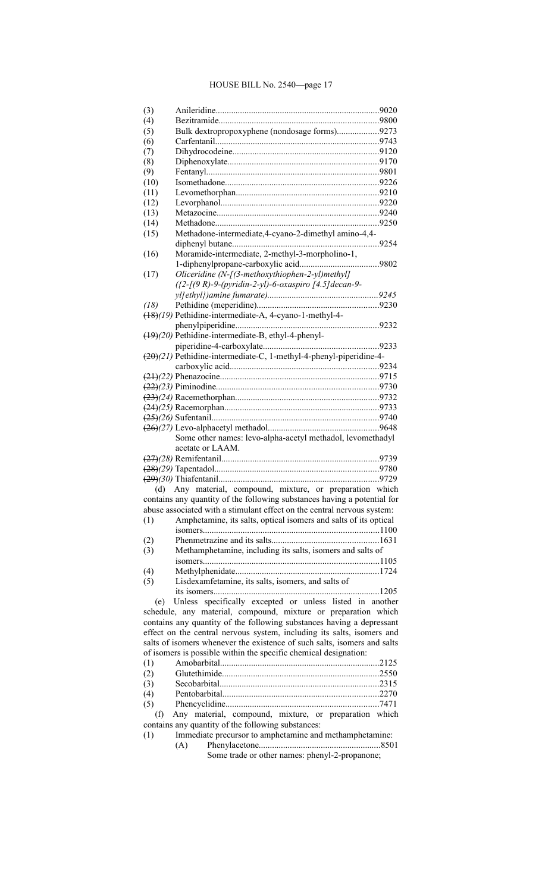| (3)        |                                                                          |  |
|------------|--------------------------------------------------------------------------|--|
| (4)        |                                                                          |  |
| (5)        | Bulk dextropropoxyphene (nondosage forms)9273                            |  |
| (6)        |                                                                          |  |
| (7)        |                                                                          |  |
| (8)        |                                                                          |  |
| (9)        |                                                                          |  |
| (10)       |                                                                          |  |
| (11)       |                                                                          |  |
| (12)       |                                                                          |  |
| (13)       |                                                                          |  |
| (14)       |                                                                          |  |
| (15)       | Methadone-intermediate, 4-cyano-2-dimethyl amino-4, 4-                   |  |
|            |                                                                          |  |
| (16)       | Moramide-intermediate, 2-methyl-3-morpholino-1,                          |  |
|            |                                                                          |  |
| (17)       | Oliceridine (N-[(3-methoxythiophen-2-yl)methyl]                          |  |
|            | ({2-[(9 R)-9-(pyridin-2-yl)-6-oxaspiro [4.5] decan-9-                    |  |
|            |                                                                          |  |
| (18)       |                                                                          |  |
|            | (18)(19) Pethidine-intermediate-A, 4-cyano-1-methyl-4-                   |  |
|            |                                                                          |  |
|            | (19)(20) Pethidine-intermediate-B, ethyl-4-phenyl-                       |  |
|            |                                                                          |  |
|            | (20)(21) Pethidine-intermediate-C, 1-methyl-4-phenyl-piperidine-4-       |  |
|            |                                                                          |  |
|            |                                                                          |  |
|            |                                                                          |  |
|            |                                                                          |  |
|            |                                                                          |  |
|            |                                                                          |  |
|            |                                                                          |  |
|            |                                                                          |  |
|            | Some other names: levo-alpha-acetyl methadol, levomethadyl               |  |
|            | acetate or LAAM.                                                         |  |
|            |                                                                          |  |
|            |                                                                          |  |
|            |                                                                          |  |
| (d)        | Any material, compound, mixture, or preparation which                    |  |
|            | contains any quantity of the following substances having a potential for |  |
|            | abuse associated with a stimulant effect on the central nervous system:  |  |
| (1)        | Amphetamine, its salts, optical isomers and salts of its optical         |  |
|            |                                                                          |  |
| (2)<br>(3) |                                                                          |  |
|            | Methamphetamine, including its salts, isomers and salts of               |  |
| (4)        |                                                                          |  |
| (5)        | Lisdexamfetamine, its salts, isomers, and salts of                       |  |
|            |                                                                          |  |
| (e)        | Unless specifically excepted or unless listed in another                 |  |
|            | schedule, any material, compound, mixture or preparation which           |  |
|            | contains any quantity of the following substances having a depressant    |  |
|            | effect on the central nervous system, including its salts, isomers and   |  |
|            | salts of isomers whenever the existence of such salts, isomers and salts |  |
|            | of isomers is possible within the specific chemical designation:         |  |
| (1)        |                                                                          |  |
| (2)        |                                                                          |  |
| (3)        |                                                                          |  |
| (4)        |                                                                          |  |
| (5)        |                                                                          |  |
| (f)        | Any material, compound, mixture, or preparation which                    |  |
|            | contains any quantity of the following substances:                       |  |
| (1)        | Immediate precursor to amphetamine and methamphetamine:                  |  |
|            | (A)<br>Some trade or other names: phenyl-2-propanone;                    |  |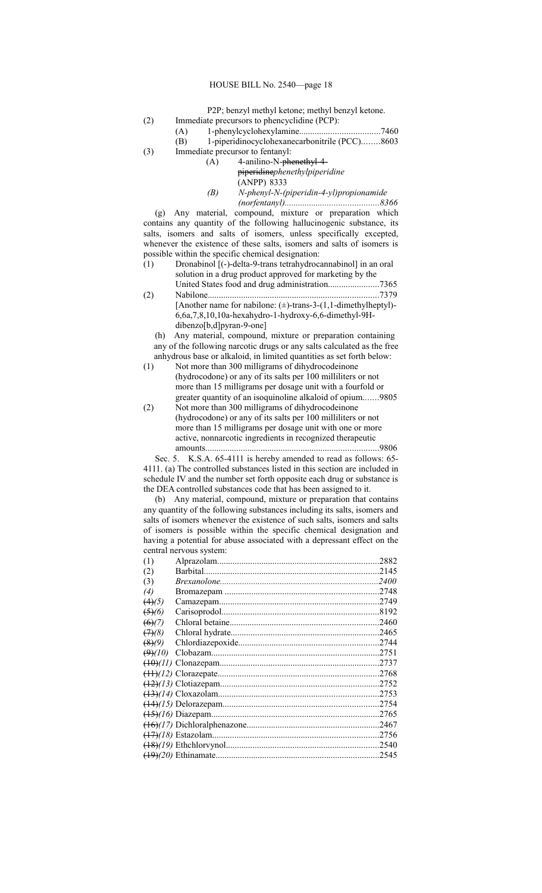P2P; benzyl methyl ketone; methyl benzyl ketone.

- (2) Immediate precursors to phencyclidine (PCP): (A) 1-phenylcyclohexylamine....................................7460
	- (B) 1-piperidinocyclohexanecarbonitrile (PCC)........8603
- (3) Immediate precursor to fentanyl:
	- (A) 4-anilino-N-phenethyl-4 piperidine*phenethylpiperidine*
	- (ANPP) 8333
		- *(B) N-phenyl-N-(piperidin-4-yl)propionamide (norfentanyl)..........................................8366*

(g) Any material, compound, mixture or preparation which contains any quantity of the following hallucinogenic substance, its salts, isomers and salts of isomers, unless specifically excepted, whenever the existence of these salts, isomers and salts of isomers is possible within the specific chemical designation:

- (1) Dronabinol [(-)-delta-9-trans tetrahydrocannabinol] in an oral solution in a drug product approved for marketing by the
- United States food and drug administration.......................7365 (2) Nabilone.............................................................................7379
	- [Another name for nabilone:  $(\pm)$ -trans-3-(1,1-dimethylheptyl)-6,6a,7,8,10,10a-hexahydro-1-hydroxy-6,6-dimethyl-9Hdibenzo[b,d]pyran-9-one]

(h) Any material, compound, mixture or preparation containing any of the following narcotic drugs or any salts calculated as the free anhydrous base or alkaloid, in limited quantities as set forth below:

- (1) Not more than 300 milligrams of dihydrocodeinone (hydrocodone) or any of its salts per 100 milliliters or not more than 15 milligrams per dosage unit with a fourfold or greater quantity of an isoquinoline alkaloid of opium.......9805
- (2) Not more than 300 milligrams of dihydrocodeinone (hydrocodone) or any of its salts per 100 milliliters or not more than 15 milligrams per dosage unit with one or more active, nonnarcotic ingredients in recognized therapeutic amounts..............................................................................9806

Sec. 5. K.S.A. 65-4111 is hereby amended to read as follows: 65- 4111. (a) The controlled substances listed in this section are included in schedule IV and the number set forth opposite each drug or substance is the DEA controlled substances code that has been assigned to it.

(b) Any material, compound, mixture or preparation that contains any quantity of the following substances including its salts, isomers and salts of isomers whenever the existence of such salts, isomers and salts of isomers is possible within the specific chemical designation and having a potential for abuse associated with a depressant effect on the central nervous system:

| (1)                         | 2882  |
|-----------------------------|-------|
| (2)                         | .2145 |
| (3)                         |       |
| (4)                         | .2748 |
| (4)(5)                      | .2749 |
| $\leftrightarrow$ (6)       |       |
| $\left( \Theta (7) \right)$ | .2460 |
| $\leftrightarrow$ (8)       | .2465 |
| $\left( 8\right)$ $(9)$     | .2744 |
| $\Theta$ (10)               |       |
|                             | .2737 |
|                             | .2768 |
|                             | .2752 |
|                             | .2753 |
|                             | .2754 |
|                             | .2765 |
|                             | .2467 |
|                             |       |
|                             | .2540 |
|                             | 2545  |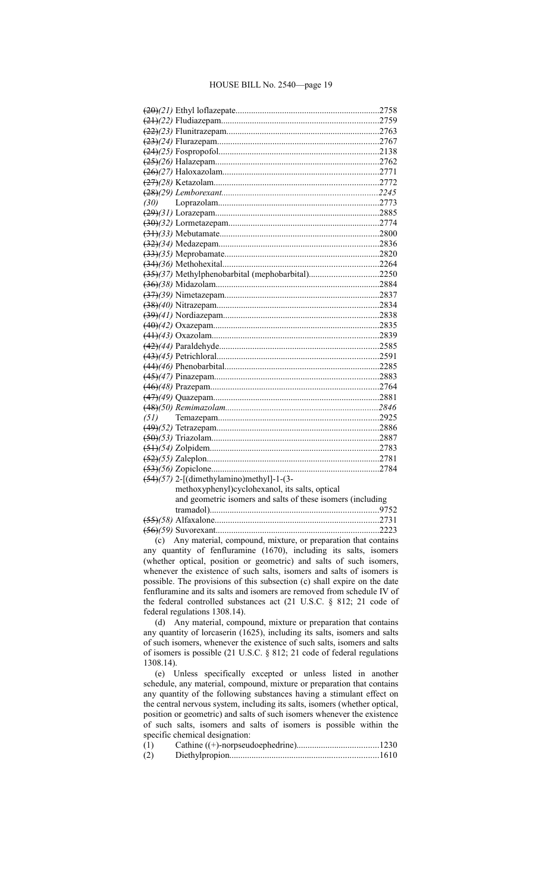| (30) |                                                             |  |
|------|-------------------------------------------------------------|--|
|      |                                                             |  |
|      |                                                             |  |
|      |                                                             |  |
|      |                                                             |  |
|      |                                                             |  |
|      |                                                             |  |
|      |                                                             |  |
|      |                                                             |  |
|      |                                                             |  |
|      |                                                             |  |
|      |                                                             |  |
|      |                                                             |  |
|      |                                                             |  |
|      |                                                             |  |
|      |                                                             |  |
|      |                                                             |  |
|      |                                                             |  |
|      |                                                             |  |
|      |                                                             |  |
|      |                                                             |  |
| (51) |                                                             |  |
|      |                                                             |  |
|      |                                                             |  |
|      |                                                             |  |
|      |                                                             |  |
|      |                                                             |  |
|      | $(54)(57)$ 2-[(dimethylamino)methyl]-1-(3-                  |  |
|      | methoxyphenyl)cyclohexanol, its salts, optical              |  |
|      | and geometric isomers and salts of these isomers (including |  |
|      |                                                             |  |
|      |                                                             |  |

(56)*(59)* Suvorexant..........................................................................2223 (c) Any material, compound, mixture, or preparation that contains any quantity of fenfluramine (1670), including its salts, isomers (whether optical, position or geometric) and salts of such isomers, whenever the existence of such salts, isomers and salts of isomers is possible. The provisions of this subsection (c) shall expire on the date fenfluramine and its salts and isomers are removed from schedule IV of the federal controlled substances act (21 U.S.C. § 812; 21 code of

federal regulations 1308.14). (d) Any material, compound, mixture or preparation that contains any quantity of lorcaserin (1625), including its salts, isomers and salts of such isomers, whenever the existence of such salts, isomers and salts of isomers is possible (21 U.S.C. § 812; 21 code of federal regulations 1308.14).

(e) Unless specifically excepted or unless listed in another schedule, any material, compound, mixture or preparation that contains any quantity of the following substances having a stimulant effect on the central nervous system, including its salts, isomers (whether optical, position or geometric) and salts of such isomers whenever the existence of such salts, isomers and salts of isomers is possible within the specific chemical designation:

| (1) |  |
|-----|--|
| (2) |  |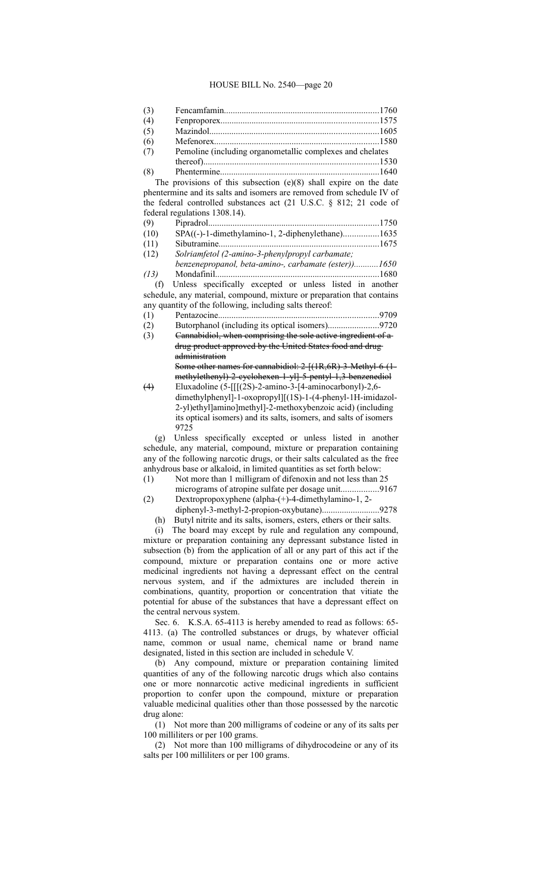| (3)                                                                   |                                                                            |  |  |  |
|-----------------------------------------------------------------------|----------------------------------------------------------------------------|--|--|--|
| (4)                                                                   |                                                                            |  |  |  |
| (5)                                                                   |                                                                            |  |  |  |
| (6)                                                                   |                                                                            |  |  |  |
|                                                                       | Pemoline (including organometallic complexes and chelates                  |  |  |  |
| (7)                                                                   |                                                                            |  |  |  |
|                                                                       |                                                                            |  |  |  |
| (8)                                                                   |                                                                            |  |  |  |
|                                                                       | The provisions of this subsection $(e)(8)$ shall expire on the date        |  |  |  |
|                                                                       | phentermine and its salts and isomers are removed from schedule IV of      |  |  |  |
|                                                                       | the federal controlled substances act (21 U.S.C. § 812; 21 code of         |  |  |  |
|                                                                       | federal regulations 1308.14).                                              |  |  |  |
| (9)                                                                   |                                                                            |  |  |  |
| (10)                                                                  | SPA((-)-1-dimethylamino-1, 2-diphenylethane)1635                           |  |  |  |
| (11)                                                                  |                                                                            |  |  |  |
| (12)                                                                  | Solriamfetol (2-amino-3-phenylpropyl carbamate;                            |  |  |  |
|                                                                       | benzenepropanol, beta-amino-, carbamate (ester))1650                       |  |  |  |
| (13)                                                                  |                                                                            |  |  |  |
| (f)                                                                   | Unless specifically excepted or unless listed in another                   |  |  |  |
|                                                                       | schedule, any material, compound, mixture or preparation that contains     |  |  |  |
|                                                                       | any quantity of the following, including salts thereof:                    |  |  |  |
| (1)                                                                   |                                                                            |  |  |  |
| (2)                                                                   |                                                                            |  |  |  |
| (3)                                                                   | Cannabidiol, when comprising the sole active ingredient of a-              |  |  |  |
|                                                                       | drug product approved by the United States food and drug-                  |  |  |  |
|                                                                       | administration                                                             |  |  |  |
|                                                                       | Some other names for eannabidiol: 2-[(1R, 6R)-3-Methyl-6-(1-               |  |  |  |
|                                                                       | methylethenyl)-2-eyelohexen-1-yl]-5-pentyl-1,3-benzenediol                 |  |  |  |
| (4)                                                                   | Eluxadoline (5- $[[(2S)-2-amin-3-4-aminocarbony]-2,6-$                     |  |  |  |
|                                                                       | dimethylphenyl]-1-oxopropyl][(1S)-1-(4-phenyl-1H-imidazol-                 |  |  |  |
|                                                                       | 2-yl)ethyl]amino]methyl]-2-methoxybenzoic acid) (including                 |  |  |  |
|                                                                       | its optical isomers) and its salts, isomers, and salts of isomers          |  |  |  |
|                                                                       | 9725                                                                       |  |  |  |
| (g)                                                                   | Unless specifically excepted or unless listed in another                   |  |  |  |
|                                                                       | schedule, any material, compound, mixture or preparation containing        |  |  |  |
|                                                                       | any of the following narcotic drugs, or their salts calculated as the free |  |  |  |
|                                                                       | anhydrous base or alkaloid, in limited quantities as set forth below:      |  |  |  |
| (1)                                                                   | Not more than 1 milligram of difenoxin and not less than 25                |  |  |  |
|                                                                       | micrograms of atropine sulfate per dosage unit9167                         |  |  |  |
| (2)                                                                   | Dextropropoxyphene (alpha-(+)-4-dimethylamino-1, 2-                        |  |  |  |
|                                                                       |                                                                            |  |  |  |
|                                                                       | (h) Butyl nitrite and its salts, isomers, esters, ethers or their salts.   |  |  |  |
| (i)                                                                   | The board may except by rule and regulation any compound,                  |  |  |  |
|                                                                       | mixture or preparation containing any depressant substance listed in       |  |  |  |
|                                                                       | subsection (b) from the application of all or any part of this act if the  |  |  |  |
|                                                                       | compound, mixture or preparation contains one or more active               |  |  |  |
|                                                                       | medicinal ingredients not having a depressant effect on the central        |  |  |  |
|                                                                       | nervous system, and if the admixtures are included therein in              |  |  |  |
|                                                                       | combinations, quantity, proportion or concentration that vitiate the       |  |  |  |
|                                                                       | potential for abuse of the substances that have a depressant effect on     |  |  |  |
|                                                                       | the central nervous system.                                                |  |  |  |
|                                                                       | Sec. 6. K.S.A. 65-4113 is hereby amended to read as follows: 65-           |  |  |  |
|                                                                       | 4113. (a) The controlled substances or drugs, by whatever official         |  |  |  |
| name, common or usual name, chemical name or brand name               |                                                                            |  |  |  |
| designated, listed in this section are included in schedule V.        |                                                                            |  |  |  |
| Any compound, mixture or preparation containing limited<br>(b)        |                                                                            |  |  |  |
| quantities of any of the following narcotic drugs which also contains |                                                                            |  |  |  |
| one or more nonnarcotic active medicinal ingredients in sufficient    |                                                                            |  |  |  |
|                                                                       | proportion to confer upon the compound, mixture or preparation             |  |  |  |
|                                                                       | valuable medicinal qualities other than those possessed by the narcotic    |  |  |  |
| drug alone:                                                           |                                                                            |  |  |  |
|                                                                       |                                                                            |  |  |  |

(1) Not more than 200 milligrams of codeine or any of its salts per 100 milliliters or per 100 grams.

(2) Not more than 100 milligrams of dihydrocodeine or any of its salts per 100 milliliters or per 100 grams.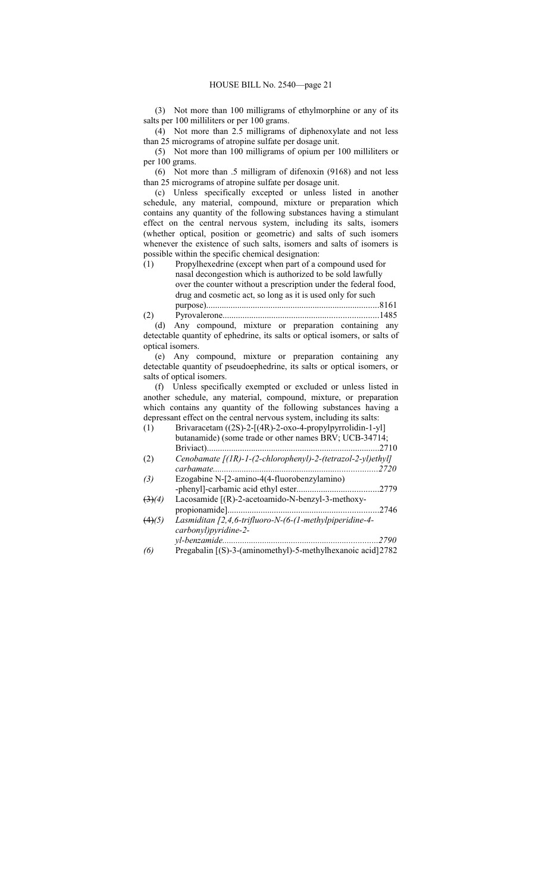(3) Not more than 100 milligrams of ethylmorphine or any of its salts per 100 milliliters or per 100 grams.

(4) Not more than 2.5 milligrams of diphenoxylate and not less than 25 micrograms of atropine sulfate per dosage unit.

(5) Not more than 100 milligrams of opium per 100 milliliters or per 100 grams.

(6) Not more than .5 milligram of difenoxin (9168) and not less than 25 micrograms of atropine sulfate per dosage unit.

(c) Unless specifically excepted or unless listed in another schedule, any material, compound, mixture or preparation which contains any quantity of the following substances having a stimulant effect on the central nervous system, including its salts, isomers (whether optical, position or geometric) and salts of such isomers whenever the existence of such salts, isomers and salts of isomers is possible within the specific chemical designation:

| (1) | Propylhexedrine (except when part of a compound used for        |  |
|-----|-----------------------------------------------------------------|--|
|     | nasal decongestion which is authorized to be sold lawfully      |  |
|     | over the counter without a prescription under the federal food, |  |
|     | drug and cosmetic act, so long as it is used only for such      |  |
|     |                                                                 |  |
| (2) |                                                                 |  |

(d) Any compound, mixture or preparation containing any detectable quantity of ephedrine, its salts or optical isomers, or salts of optical isomers.

(e) Any compound, mixture or preparation containing any detectable quantity of pseudoephedrine, its salts or optical isomers, or salts of optical isomers.

(f) Unless specifically exempted or excluded or unless listed in another schedule, any material, compound, mixture, or preparation which contains any quantity of the following substances having a depressant effect on the central nervous system, including its salts:

| (1)                 | Brivaracetam ((2S)-2-[(4R)-2-oxo-4-propylpyrrolidin-1-yl]   |
|---------------------|-------------------------------------------------------------|
|                     | butanamide) (some trade or other names BRV; UCB-34714;      |
|                     | 2710                                                        |
| (2)                 | Cenobamate [(1R)-1-(2-chlorophenyl)-2-(tetrazol-2-yl)ethyl] |
|                     | 2720                                                        |
| (3)                 | Ezogabine N-[2-amino-4(4-fluorobenzylamino)                 |
|                     | 2779                                                        |
| $\left(3\right)(4)$ | Lacosamide [(R)-2-acetoamido-N-benzyl-3-methoxy-            |
|                     | 2746                                                        |
| (4)(5)              | Lasmiditan [2,4,6-trifluoro-N-(6-(1-methylpiperidine-4-     |
|                     | carbonyl) pyridine-2-                                       |
|                     | 2790                                                        |
| (6)                 | Pregabalin [(S)-3-(aminomethyl)-5-methylhexanoic acid]2782  |